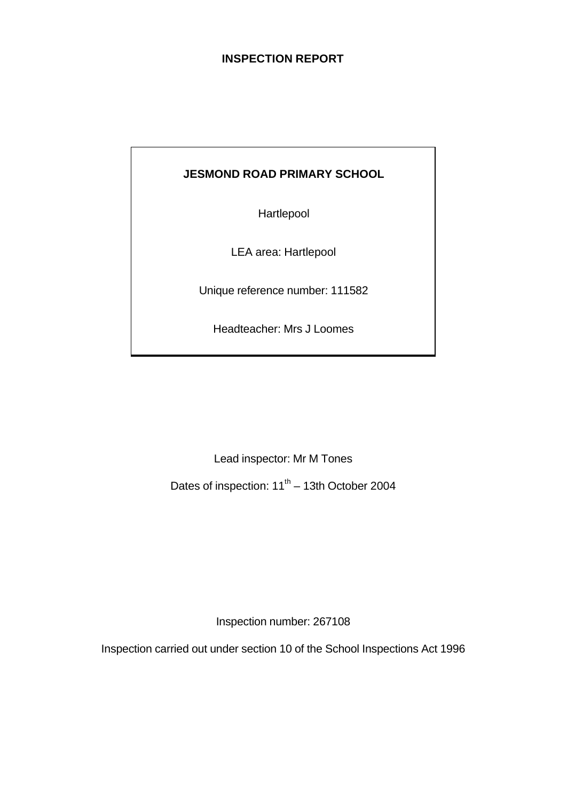# **INSPECTION REPORT**

# **JESMOND ROAD PRIMARY SCHOOL**

Hartlepool

LEA area: Hartlepool

Unique reference number: 111582

Headteacher: Mrs J Loomes

Lead inspector: Mr M Tones

Dates of inspection:  $11<sup>th</sup> - 13th$  October 2004

Inspection number: 267108

Inspection carried out under section 10 of the School Inspections Act 1996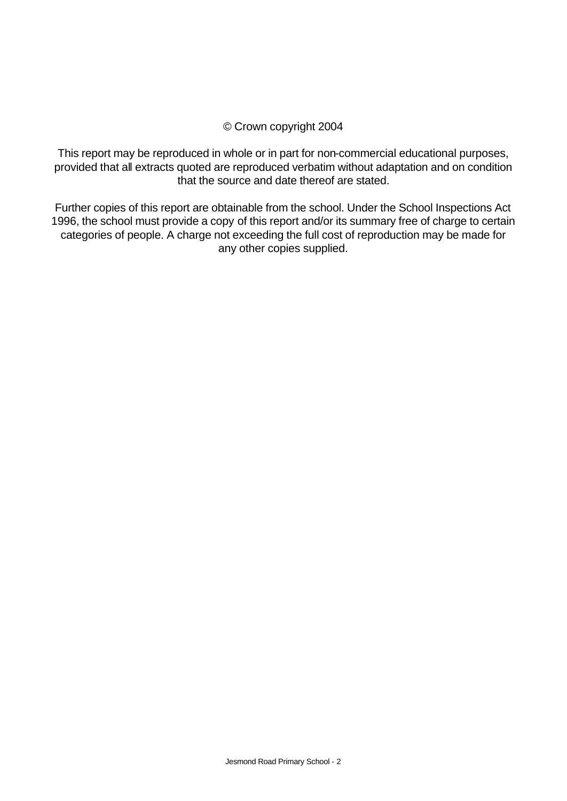### © Crown copyright 2004

This report may be reproduced in whole or in part for non-commercial educational purposes, provided that all extracts quoted are reproduced verbatim without adaptation and on condition that the source and date thereof are stated.

Further copies of this report are obtainable from the school. Under the School Inspections Act 1996, the school must provide a copy of this report and/or its summary free of charge to certain categories of people. A charge not exceeding the full cost of reproduction may be made for any other copies supplied.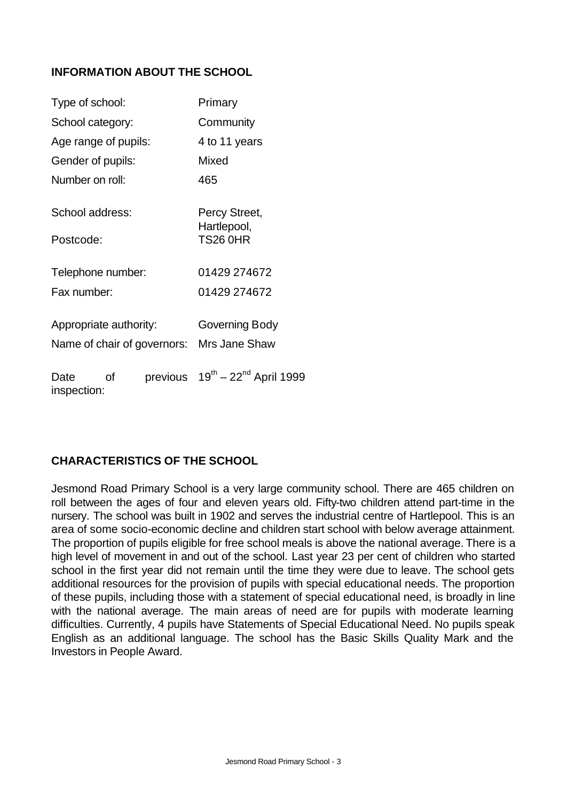# **INFORMATION ABOUT THE SCHOOL**

| Type of school:        |    |          | Primary                                   |  |  |
|------------------------|----|----------|-------------------------------------------|--|--|
| School category:       |    |          | Community                                 |  |  |
| Age range of pupils:   |    |          | 4 to 11 years                             |  |  |
| Gender of pupils:      |    |          | Mixed                                     |  |  |
| Number on roll:        |    |          | 465                                       |  |  |
| School address:        |    |          | Percy Street,<br>Hartlepool,              |  |  |
| Postcode:              |    |          | <b>TS26 0HR</b>                           |  |  |
| Telephone number:      |    |          | 01429 274672                              |  |  |
| Fax number:            |    |          | 01429 274672                              |  |  |
| Appropriate authority: |    |          | Governing Body                            |  |  |
|                        |    |          | Name of chair of governors: Mrs Jane Shaw |  |  |
| Date<br>inspection:    | Ωf | previous | $19^{th} - 22^{nd}$ April 1999            |  |  |

# **CHARACTERISTICS OF THE SCHOOL**

Jesmond Road Primary School is a very large community school. There are 465 children on roll between the ages of four and eleven years old. Fifty-two children attend part-time in the nursery. The school was built in 1902 and serves the industrial centre of Hartlepool. This is an area of some socio-economic decline and children start school with below average attainment. The proportion of pupils eligible for free school meals is above the national average. There is a high level of movement in and out of the school. Last year 23 per cent of children who started school in the first year did not remain until the time they were due to leave. The school gets additional resources for the provision of pupils with special educational needs. The proportion of these pupils, including those with a statement of special educational need, is broadly in line with the national average. The main areas of need are for pupils with moderate learning difficulties. Currently, 4 pupils have Statements of Special Educational Need. No pupils speak English as an additional language. The school has the Basic Skills Quality Mark and the Investors in People Award.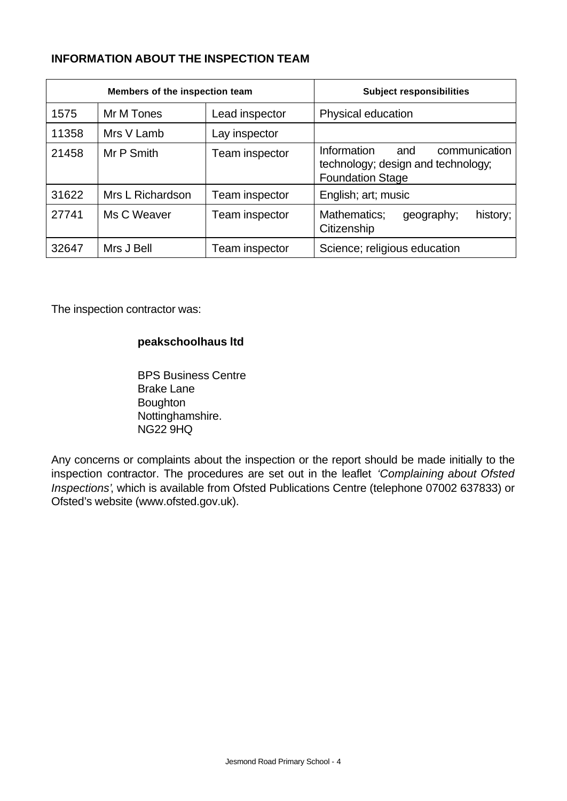# **INFORMATION ABOUT THE INSPECTION TEAM**

| Members of the inspection team |                  |                | <b>Subject responsibilities</b>                                                                      |
|--------------------------------|------------------|----------------|------------------------------------------------------------------------------------------------------|
| 1575                           | Mr M Tones       | Lead inspector | Physical education                                                                                   |
| 11358                          | Mrs V Lamb       | Lay inspector  |                                                                                                      |
| 21458                          | Mr P Smith       | Team inspector | Information<br>communication<br>and<br>technology; design and technology;<br><b>Foundation Stage</b> |
| 31622                          | Mrs L Richardson | Team inspector | English; art; music                                                                                  |
| 27741                          | Ms C Weaver      | Team inspector | Mathematics;<br>history;<br>geography;<br>Citizenship                                                |
| 32647                          | Mrs J Bell       | Team inspector | Science; religious education                                                                         |

The inspection contractor was:

### **peakschoolhaus ltd**

BPS Business Centre Brake Lane Boughton Nottinghamshire. NG22 9HQ

Any concerns or complaints about the inspection or the report should be made initially to the inspection contractor. The procedures are set out in the leaflet *'Complaining about Ofsted Inspections'*, which is available from Ofsted Publications Centre (telephone 07002 637833) or Ofsted's website (www.ofsted.gov.uk).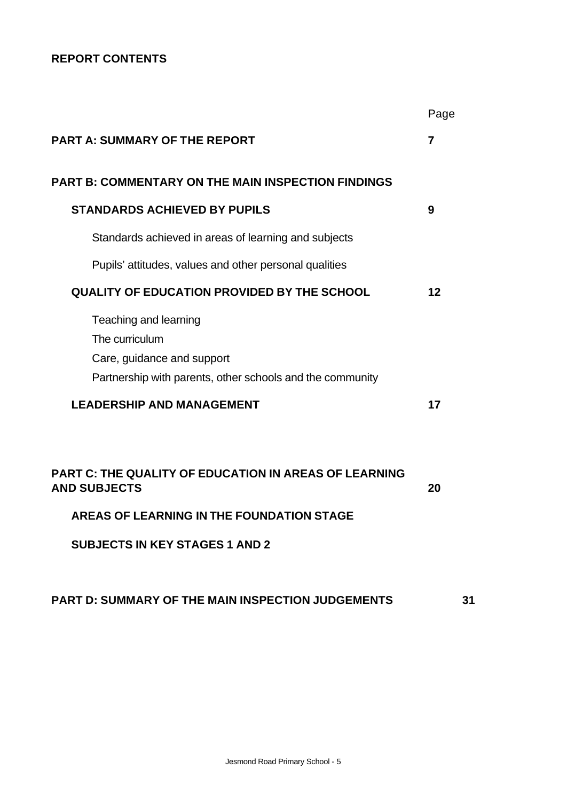# **REPORT CONTENTS**

|                                                                                                                                    | Page |
|------------------------------------------------------------------------------------------------------------------------------------|------|
| <b>PART A: SUMMARY OF THE REPORT</b>                                                                                               | 7    |
| <b>PART B: COMMENTARY ON THE MAIN INSPECTION FINDINGS</b>                                                                          |      |
| <b>STANDARDS ACHIEVED BY PUPILS</b>                                                                                                | 9    |
| Standards achieved in areas of learning and subjects                                                                               |      |
| Pupils' attitudes, values and other personal qualities                                                                             |      |
| <b>QUALITY OF EDUCATION PROVIDED BY THE SCHOOL</b>                                                                                 | 12   |
| Teaching and learning<br>The curriculum<br>Care, guidance and support<br>Partnership with parents, other schools and the community |      |
| <b>LEADERSHIP AND MANAGEMENT</b>                                                                                                   | 17   |
| <b>PART C: THE QUALITY OF EDUCATION IN AREAS OF LEARNING</b><br><b>AND SUBJECTS</b>                                                | 20   |
| AREAS OF LEARNING IN THE FOUNDATION STAGE                                                                                          |      |
| <b>SUBJECTS IN KEY STAGES 1 AND 2</b>                                                                                              |      |

# **PART D: SUMMARY OF THE MAIN INSPECTION JUDGEMENTS 31**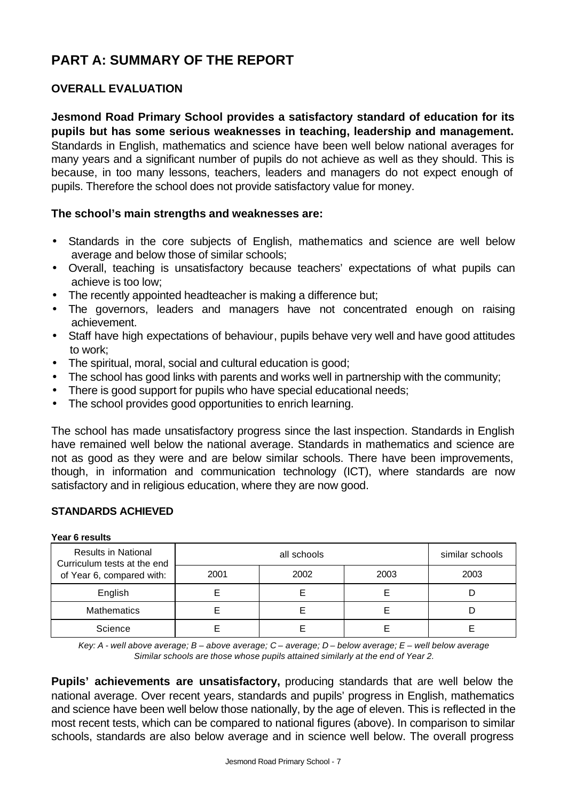# **PART A: SUMMARY OF THE REPORT**

# **OVERALL EVALUATION**

**Jesmond Road Primary School provides a satisfactory standard of education for its pupils but has some serious weaknesses in teaching, leadership and management.**  Standards in English, mathematics and science have been well below national averages for many years and a significant number of pupils do not achieve as well as they should. This is because, in too many lessons, teachers, leaders and managers do not expect enough of pupils. Therefore the school does not provide satisfactory value for money.

### **The school's main strengths and weaknesses are:**

- Standards in the core subjects of English, mathematics and science are well below average and below those of similar schools;
- Overall, teaching is unsatisfactory because teachers' expectations of what pupils can achieve is too low;
- The recently appointed headteacher is making a difference but;
- The governors, leaders and managers have not concentrated enough on raising achievement.
- Staff have high expectations of behaviour, pupils behave very well and have good attitudes to work;
- The spiritual, moral, social and cultural education is good;
- The school has good links with parents and works well in partnership with the community;
- There is good support for pupils who have special educational needs;
- The school provides good opportunities to enrich learning.

The school has made unsatisfactory progress since the last inspection. Standards in English have remained well below the national average. Standards in mathematics and science are not as good as they were and are below similar schools. There have been improvements, though, in information and communication technology (ICT), where standards are now satisfactory and in religious education, where they are now good.

### **STANDARDS ACHIEVED**

#### **Year 6 results**

| <b>Results in National</b><br>Curriculum tests at the end |      | similar schools |      |      |
|-----------------------------------------------------------|------|-----------------|------|------|
| of Year 6, compared with:                                 | 2001 | 2002            | 2003 | 2003 |
| English                                                   |      |                 |      |      |
| <b>Mathematics</b>                                        |      |                 |      |      |
| Science                                                   |      |                 |      |      |

*Key: A - well above average; B – above average; C – average; D – below average; E – well below average Similar schools are those whose pupils attained similarly at the end of Year 2.*

**Pupils' achievements are unsatisfactory,** producing standards that are well below the national average. Over recent years, standards and pupils' progress in English, mathematics and science have been well below those nationally, by the age of eleven. This is reflected in the most recent tests, which can be compared to national figures (above). In comparison to similar schools, standards are also below average and in science well below. The overall progress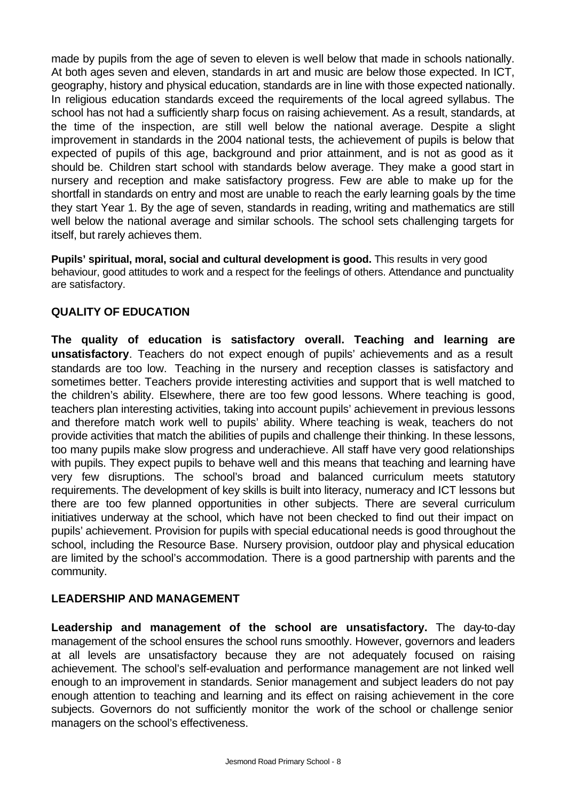made by pupils from the age of seven to eleven is well below that made in schools nationally. At both ages seven and eleven, standards in art and music are below those expected. In ICT, geography, history and physical education, standards are in line with those expected nationally. In religious education standards exceed the requirements of the local agreed syllabus. The school has not had a sufficiently sharp focus on raising achievement. As a result, standards, at the time of the inspection, are still well below the national average. Despite a slight improvement in standards in the 2004 national tests, the achievement of pupils is below that expected of pupils of this age, background and prior attainment, and is not as good as it should be. Children start school with standards below average. They make a good start in nursery and reception and make satisfactory progress. Few are able to make up for the shortfall in standards on entry and most are unable to reach the early learning goals by the time they start Year 1. By the age of seven, standards in reading, writing and mathematics are still well below the national average and similar schools. The school sets challenging targets for itself, but rarely achieves them.

**Pupils' spiritual, moral, social and cultural development is good.** This results in very good behaviour, good attitudes to work and a respect for the feelings of others. Attendance and punctuality are satisfactory.

# **QUALITY OF EDUCATION**

**The quality of education is satisfactory overall. Teaching and learning are unsatisfactory**. Teachers do not expect enough of pupils' achievements and as a result standards are too low. Teaching in the nursery and reception classes is satisfactory and sometimes better. Teachers provide interesting activities and support that is well matched to the children's ability. Elsewhere, there are too few good lessons. Where teaching is good, teachers plan interesting activities, taking into account pupils' achievement in previous lessons and therefore match work well to pupils' ability. Where teaching is weak, teachers do not provide activities that match the abilities of pupils and challenge their thinking. In these lessons, too many pupils make slow progress and underachieve. All staff have very good relationships with pupils. They expect pupils to behave well and this means that teaching and learning have very few disruptions. The school's broad and balanced curriculum meets statutory requirements. The development of key skills is built into literacy, numeracy and ICT lessons but there are too few planned opportunities in other subjects. There are several curriculum initiatives underway at the school, which have not been checked to find out their impact on pupils' achievement. Provision for pupils with special educational needs is good throughout the school, including the Resource Base. Nursery provision, outdoor play and physical education are limited by the school's accommodation. There is a good partnership with parents and the community.

### **LEADERSHIP AND MANAGEMENT**

**Leadership and management of the school are unsatisfactory.** The day-to-day management of the school ensures the school runs smoothly. However, governors and leaders at all levels are unsatisfactory because they are not adequately focused on raising achievement. The school's self-evaluation and performance management are not linked well enough to an improvement in standards. Senior management and subject leaders do not pay enough attention to teaching and learning and its effect on raising achievement in the core subjects. Governors do not sufficiently monitor the work of the school or challenge senior managers on the school's effectiveness.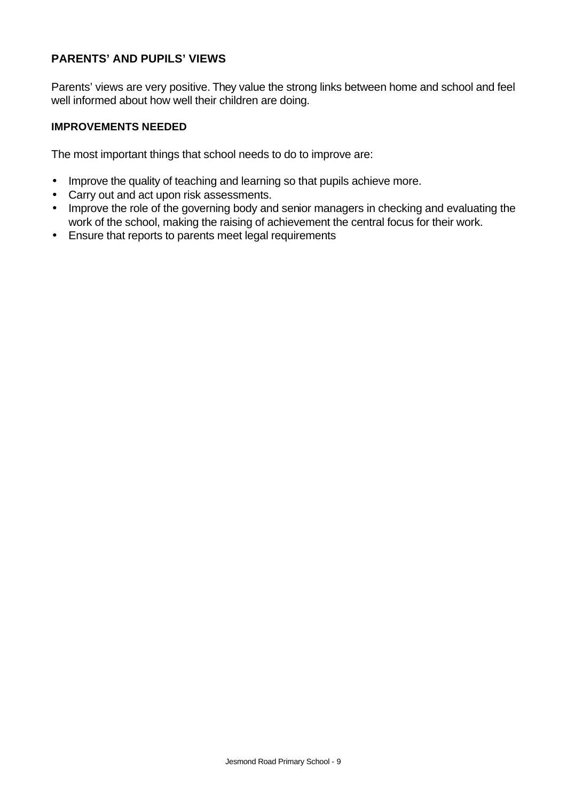# **PARENTS' AND PUPILS' VIEWS**

Parents' views are very positive. They value the strong links between home and school and feel well informed about how well their children are doing.

### **IMPROVEMENTS NEEDED**

The most important things that school needs to do to improve are:

- Improve the quality of teaching and learning so that pupils achieve more.
- Carry out and act upon risk assessments.
- Improve the role of the governing body and senior managers in checking and evaluating the work of the school, making the raising of achievement the central focus for their work.
- Ensure that reports to parents meet legal requirements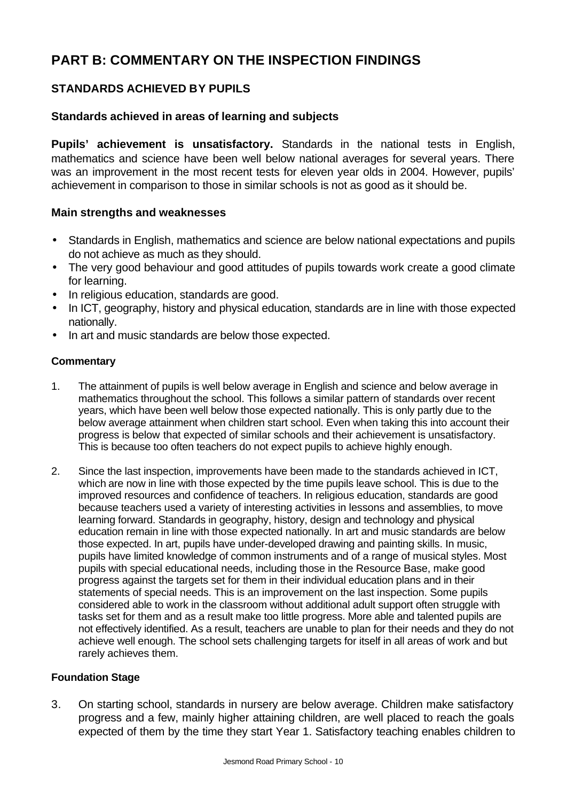# **PART B: COMMENTARY ON THE INSPECTION FINDINGS**

# **STANDARDS ACHIEVED BY PUPILS**

### **Standards achieved in areas of learning and subjects**

**Pupils' achievement is unsatisfactory.** Standards in the national tests in English, mathematics and science have been well below national averages for several years. There was an improvement in the most recent tests for eleven year olds in 2004. However, pupils' achievement in comparison to those in similar schools is not as good as it should be.

### **Main strengths and weaknesses**

- Standards in English, mathematics and science are below national expectations and pupils do not achieve as much as they should.
- The very good behaviour and good attitudes of pupils towards work create a good climate for learning.
- In religious education, standards are good.
- In ICT, geography, history and physical education, standards are in line with those expected nationally.
- In art and music standards are below those expected.

### **Commentary**

- 1. The attainment of pupils is well below average in English and science and below average in mathematics throughout the school. This follows a similar pattern of standards over recent years, which have been well below those expected nationally. This is only partly due to the below average attainment when children start school. Even when taking this into account their progress is below that expected of similar schools and their achievement is unsatisfactory. This is because too often teachers do not expect pupils to achieve highly enough.
- 2. Since the last inspection, improvements have been made to the standards achieved in ICT, which are now in line with those expected by the time pupils leave school. This is due to the improved resources and confidence of teachers. In religious education, standards are good because teachers used a variety of interesting activities in lessons and assemblies, to move learning forward. Standards in geography, history, design and technology and physical education remain in line with those expected nationally. In art and music standards are below those expected. In art, pupils have under-developed drawing and painting skills. In music, pupils have limited knowledge of common instruments and of a range of musical styles. Most pupils with special educational needs, including those in the Resource Base, make good progress against the targets set for them in their individual education plans and in their statements of special needs. This is an improvement on the last inspection. Some pupils considered able to work in the classroom without additional adult support often struggle with tasks set for them and as a result make too little progress. More able and talented pupils are not effectively identified. As a result, teachers are unable to plan for their needs and they do not achieve well enough. The school sets challenging targets for itself in all areas of work and but rarely achieves them.

### **Foundation Stage**

3. On starting school, standards in nursery are below average. Children make satisfactory progress and a few, mainly higher attaining children, are well placed to reach the goals expected of them by the time they start Year 1. Satisfactory teaching enables children to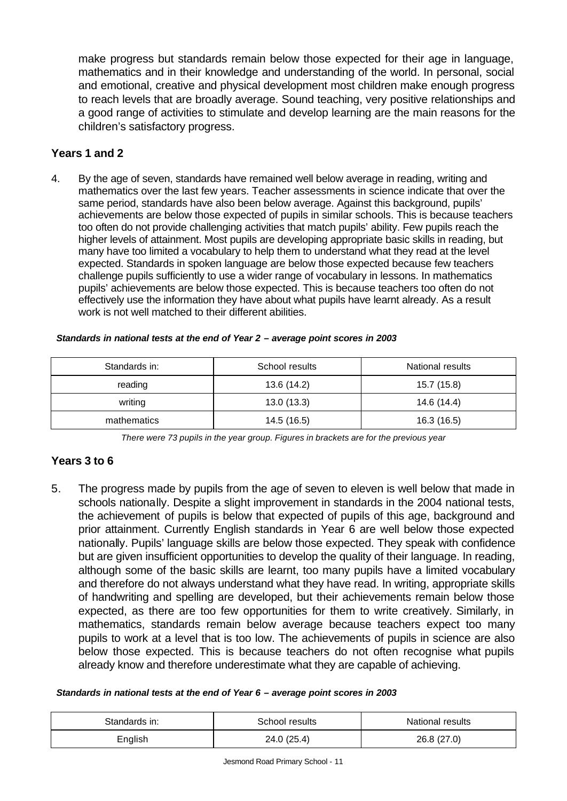make progress but standards remain below those expected for their age in language, mathematics and in their knowledge and understanding of the world. In personal, social and emotional, creative and physical development most children make enough progress to reach levels that are broadly average. Sound teaching, very positive relationships and a good range of activities to stimulate and develop learning are the main reasons for the children's satisfactory progress.

### **Years 1 and 2**

4. By the age of seven, standards have remained well below average in reading, writing and mathematics over the last few years. Teacher assessments in science indicate that over the same period, standards have also been below average. Against this background, pupils' achievements are below those expected of pupils in similar schools. This is because teachers too often do not provide challenging activities that match pupils' ability. Few pupils reach the higher levels of attainment. Most pupils are developing appropriate basic skills in reading, but many have too limited a vocabulary to help them to understand what they read at the level expected. Standards in spoken language are below those expected because few teachers challenge pupils sufficiently to use a wider range of vocabulary in lessons. In mathematics pupils' achievements are below those expected. This is because teachers too often do not effectively use the information they have about what pupils have learnt already. As a result work is not well matched to their different abilities.

| Standards in: | School results | National results |
|---------------|----------------|------------------|
| reading       | 13.6 (14.2)    | 15.7 (15.8)      |
| writing       | 13.0(13.3)     | 14.6 (14.4)      |
| mathematics   | 14.5 (16.5)    | 16.3 (16.5)      |

#### *Standards in national tests at the end of Year 2 – average point scores in 2003*

*There were 73 pupils in the year group. Figures in brackets are for the previous year* 

### **Years 3 to 6**

5. The progress made by pupils from the age of seven to eleven is well below that made in schools nationally. Despite a slight improvement in standards in the 2004 national tests, the achievement of pupils is below that expected of pupils of this age, background and prior attainment. Currently English standards in Year 6 are well below those expected nationally. Pupils' language skills are below those expected. They speak with confidence but are given insufficient opportunities to develop the quality of their language. In reading, although some of the basic skills are learnt, too many pupils have a limited vocabulary and therefore do not always understand what they have read. In writing, appropriate skills of handwriting and spelling are developed, but their achievements remain below those expected, as there are too few opportunities for them to write creatively. Similarly, in mathematics, standards remain below average because teachers expect too many pupils to work at a level that is too low. The achievements of pupils in science are also below those expected. This is because teachers do not often recognise what pupils already know and therefore underestimate what they are capable of achieving.

#### *Standards in national tests at the end of Year 6 – average point scores in 2003*

| Standards in: | School results | National results |
|---------------|----------------|------------------|
| English       | 24.0 (25.4)    | 26.8 (27.0)      |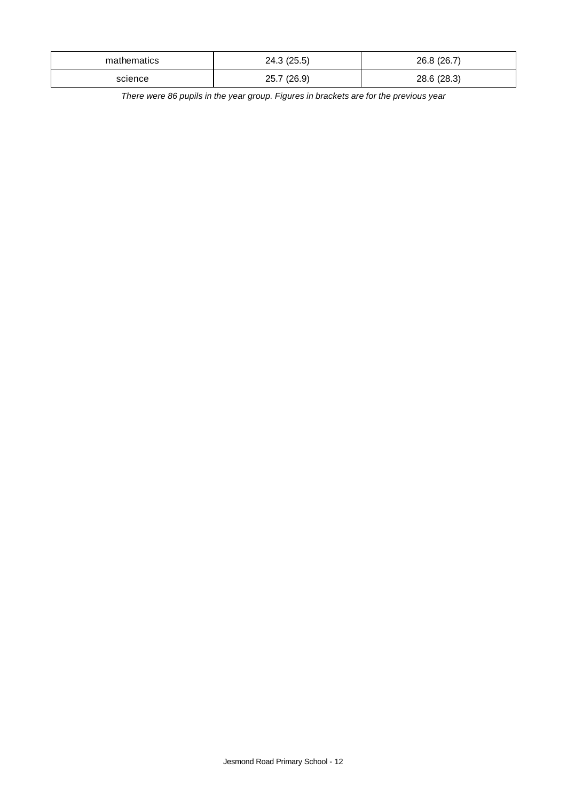| mathematics | 24.3(25.5)  | 26.8 (26.7) |
|-------------|-------------|-------------|
| science     | 25.7 (26.9) | 28.6 (28.3) |

*There were 86 pupils in the year group. Figures in brackets are for the previous year*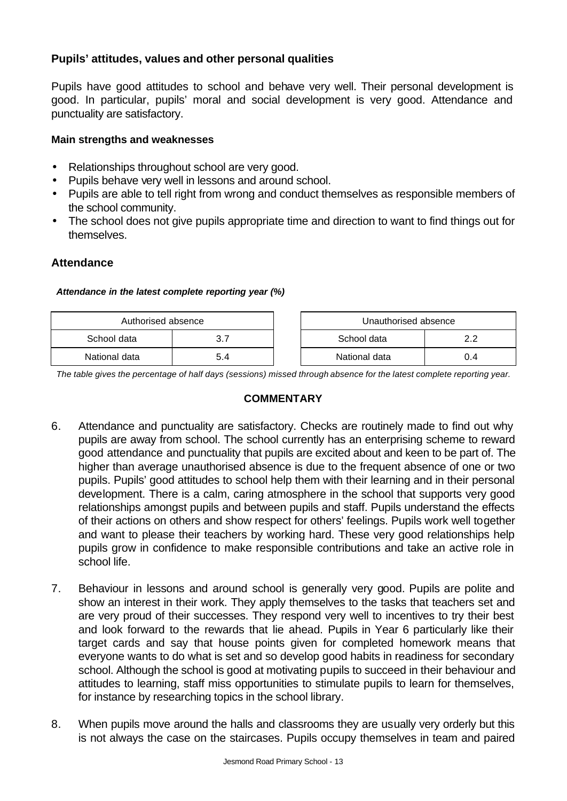# **Pupils' attitudes, values and other personal qualities**

Pupils have good attitudes to school and behave very well. Their personal development is good. In particular, pupils' moral and social development is very good. Attendance and punctuality are satisfactory.

### **Main strengths and weaknesses**

- Relationships throughout school are very good.
- Pupils behave very well in lessons and around school.
- Pupils are able to tell right from wrong and conduct themselves as responsible members of the school community.
- The school does not give pupils appropriate time and direction to want to find things out for themselves.

# **Attendance**

### *Attendance in the latest complete reporting year (%)*

| Authorised absence |     | Unauthorised absence |    |
|--------------------|-----|----------------------|----|
| School data        |     | School data          |    |
| National data      | 5.4 | National data        | 14 |

*The table gives the percentage of half days (sessions) missed through absence for the latest complete reporting year.*

### **COMMENTARY**

- 6. Attendance and punctuality are satisfactory. Checks are routinely made to find out why pupils are away from school. The school currently has an enterprising scheme to reward good attendance and punctuality that pupils are excited about and keen to be part of. The higher than average unauthorised absence is due to the frequent absence of one or two pupils. Pupils' good attitudes to school help them with their learning and in their personal development. There is a calm, caring atmosphere in the school that supports very good relationships amongst pupils and between pupils and staff. Pupils understand the effects of their actions on others and show respect for others' feelings. Pupils work well together and want to please their teachers by working hard. These very good relationships help pupils grow in confidence to make responsible contributions and take an active role in school life.
- 7. Behaviour in lessons and around school is generally very good. Pupils are polite and show an interest in their work. They apply themselves to the tasks that teachers set and are very proud of their successes. They respond very well to incentives to try their best and look forward to the rewards that lie ahead. Pupils in Year 6 particularly like their target cards and say that house points given for completed homework means that everyone wants to do what is set and so develop good habits in readiness for secondary school. Although the school is good at motivating pupils to succeed in their behaviour and attitudes to learning, staff miss opportunities to stimulate pupils to learn for themselves, for instance by researching topics in the school library.
- 8. When pupils move around the halls and classrooms they are usually very orderly but this is not always the case on the staircases. Pupils occupy themselves in team and paired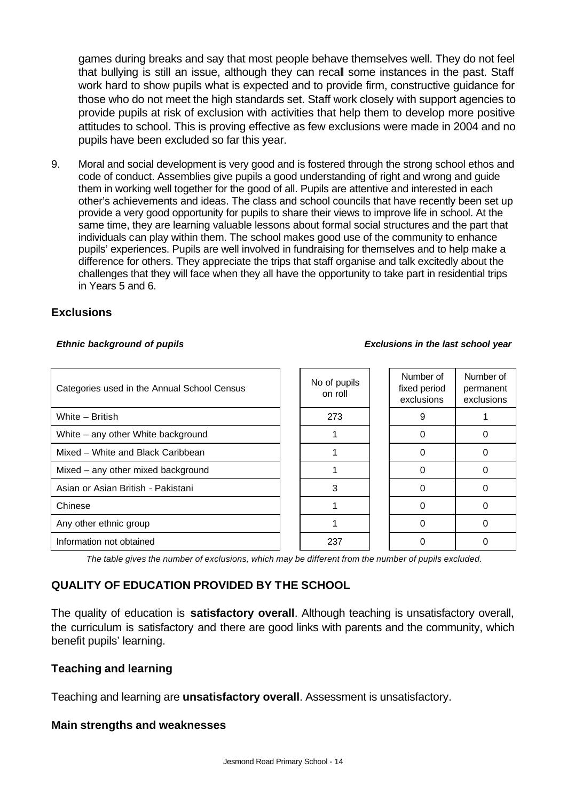games during breaks and say that most people behave themselves well. They do not feel that bullying is still an issue, although they can recall some instances in the past. Staff work hard to show pupils what is expected and to provide firm, constructive guidance for those who do not meet the high standards set. Staff work closely with support agencies to provide pupils at risk of exclusion with activities that help them to develop more positive attitudes to school. This is proving effective as few exclusions were made in 2004 and no pupils have been excluded so far this year.

9. Moral and social development is very good and is fostered through the strong school ethos and code of conduct. Assemblies give pupils a good understanding of right and wrong and guide them in working well together for the good of all. Pupils are attentive and interested in each other's achievements and ideas. The class and school councils that have recently been set up provide a very good opportunity for pupils to share their views to improve life in school. At the same time, they are learning valuable lessons about formal social structures and the part that individuals can play within them. The school makes good use of the community to enhance pupils' experiences. Pupils are well involved in fundraising for themselves and to help make a difference for others. They appreciate the trips that staff organise and talk excitedly about the challenges that they will face when they all have the opportunity to take part in residential trips in Years 5 and 6.

### **Exclusions**

#### *Ethnic background of pupils Exclusions in the last school year*

| Categories used in the Annual School Census | No of pupils<br>on roll | Number of<br>fixed period<br>exclusions | Number of<br>permanent<br>exclusions |
|---------------------------------------------|-------------------------|-----------------------------------------|--------------------------------------|
| White - British                             | 273                     | 9                                       |                                      |
| White – any other White background          |                         |                                         |                                      |
| Mixed - White and Black Caribbean           |                         |                                         |                                      |
| Mixed – any other mixed background          |                         | n                                       |                                      |
| Asian or Asian British - Pakistani          | 3                       |                                         |                                      |
| Chinese                                     |                         |                                         |                                      |
| Any other ethnic group                      |                         | ი                                       |                                      |
| Information not obtained                    | 237                     |                                         |                                      |

*The table gives the number of exclusions, which may be different from the number of pupils excluded.*

# **QUALITY OF EDUCATION PROVIDED BY THE SCHOOL**

The quality of education is **satisfactory overall**. Although teaching is unsatisfactory overall, the curriculum is satisfactory and there are good links with parents and the community, which benefit pupils' learning.

### **Teaching and learning**

Teaching and learning are **unsatisfactory overall**. Assessment is unsatisfactory.

### **Main strengths and weaknesses**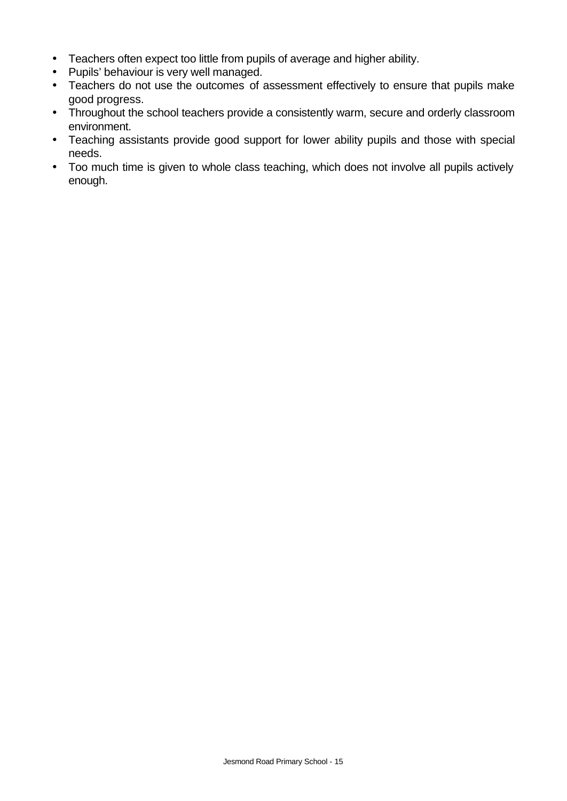- Teachers often expect too little from pupils of average and higher ability.
- Pupils' behaviour is very well managed.
- Teachers do not use the outcomes of assessment effectively to ensure that pupils make good progress.
- Throughout the school teachers provide a consistently warm, secure and orderly classroom environment.
- Teaching assistants provide good support for lower ability pupils and those with special needs.
- Too much time is given to whole class teaching, which does not involve all pupils actively enough.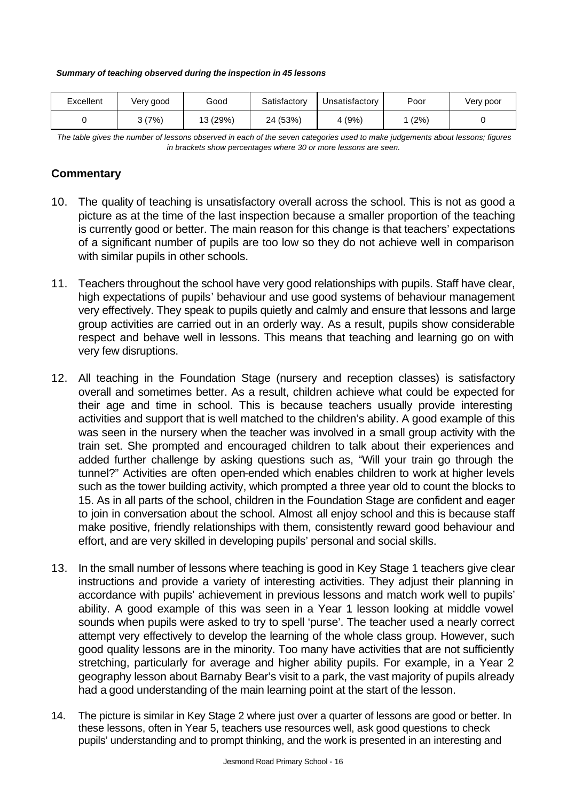*Summary of teaching observed during the inspection in 45 lessons*

| Excellent | Very good | Good     | Satisfactory | Unsatisfactory | Poor | Very poor |
|-----------|-----------|----------|--------------|----------------|------|-----------|
|           | (7%)      | 13 (29%) | 24 (53%)     | 4(9%)          | (2%) |           |

*The table gives the number of lessons observed in each of the seven categories used to make judgements about lessons; figures in brackets show percentages where 30 or more lessons are seen.*

# **Commentary**

- 10. The quality of teaching is unsatisfactory overall across the school. This is not as good a picture as at the time of the last inspection because a smaller proportion of the teaching is currently good or better. The main reason for this change is that teachers' expectations of a significant number of pupils are too low so they do not achieve well in comparison with similar pupils in other schools.
- 11. Teachers throughout the school have very good relationships with pupils. Staff have clear, high expectations of pupils' behaviour and use good systems of behaviour management very effectively. They speak to pupils quietly and calmly and ensure that lessons and large group activities are carried out in an orderly way. As a result, pupils show considerable respect and behave well in lessons. This means that teaching and learning go on with very few disruptions.
- 12. All teaching in the Foundation Stage (nursery and reception classes) is satisfactory overall and sometimes better. As a result, children achieve what could be expected for their age and time in school. This is because teachers usually provide interesting activities and support that is well matched to the children's ability. A good example of this was seen in the nursery when the teacher was involved in a small group activity with the train set. She prompted and encouraged children to talk about their experiences and added further challenge by asking questions such as, "Will your train go through the tunnel?" Activities are often open-ended which enables children to work at higher levels such as the tower building activity, which prompted a three year old to count the blocks to 15. As in all parts of the school, children in the Foundation Stage are confident and eager to join in conversation about the school. Almost all enjoy school and this is because staff make positive, friendly relationships with them, consistently reward good behaviour and effort, and are very skilled in developing pupils' personal and social skills.
- 13. In the small number of lessons where teaching is good in Key Stage 1 teachers give clear instructions and provide a variety of interesting activities. They adjust their planning in accordance with pupils' achievement in previous lessons and match work well to pupils' ability. A good example of this was seen in a Year 1 lesson looking at middle vowel sounds when pupils were asked to try to spell 'purse'. The teacher used a nearly correct attempt very effectively to develop the learning of the whole class group. However, such good quality lessons are in the minority. Too many have activities that are not sufficiently stretching, particularly for average and higher ability pupils. For example, in a Year 2 geography lesson about Barnaby Bear's visit to a park, the vast majority of pupils already had a good understanding of the main learning point at the start of the lesson.
- 14. The picture is similar in Key Stage 2 where just over a quarter of lessons are good or better. In these lessons, often in Year 5, teachers use resources well, ask good questions to check pupils' understanding and to prompt thinking, and the work is presented in an interesting and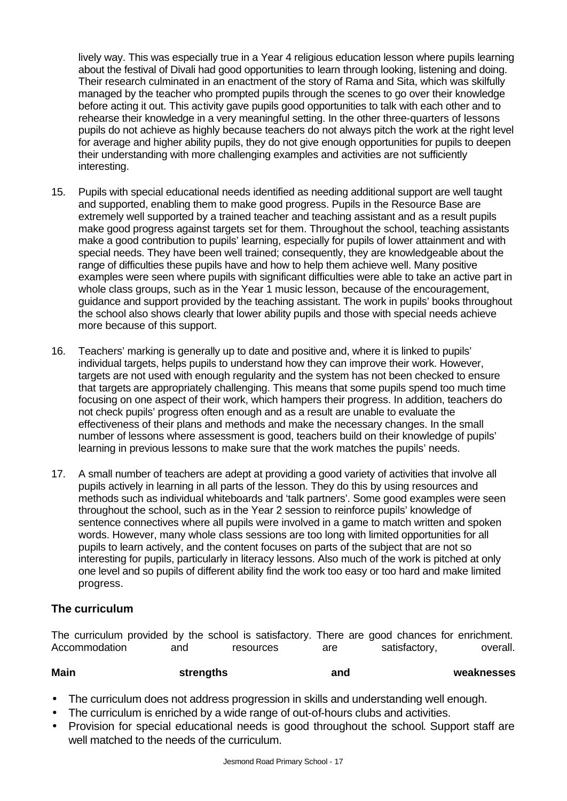lively way. This was especially true in a Year 4 religious education lesson where pupils learning about the festival of Divali had good opportunities to learn through looking, listening and doing. Their research culminated in an enactment of the story of Rama and Sita, which was skilfully managed by the teacher who prompted pupils through the scenes to go over their knowledge before acting it out. This activity gave pupils good opportunities to talk with each other and to rehearse their knowledge in a very meaningful setting. In the other three-quarters of lessons pupils do not achieve as highly because teachers do not always pitch the work at the right level for average and higher ability pupils, they do not give enough opportunities for pupils to deepen their understanding with more challenging examples and activities are not sufficiently interesting.

- 15. Pupils with special educational needs identified as needing additional support are well taught and supported, enabling them to make good progress. Pupils in the Resource Base are extremely well supported by a trained teacher and teaching assistant and as a result pupils make good progress against targets set for them. Throughout the school, teaching assistants make a good contribution to pupils' learning, especially for pupils of lower attainment and with special needs. They have been well trained; consequently, they are knowledgeable about the range of difficulties these pupils have and how to help them achieve well. Many positive examples were seen where pupils with significant difficulties were able to take an active part in whole class groups, such as in the Year 1 music lesson, because of the encouragement, guidance and support provided by the teaching assistant. The work in pupils' books throughout the school also shows clearly that lower ability pupils and those with special needs achieve more because of this support.
- 16. Teachers' marking is generally up to date and positive and, where it is linked to pupils' individual targets, helps pupils to understand how they can improve their work. However, targets are not used with enough regularity and the system has not been checked to ensure that targets are appropriately challenging. This means that some pupils spend too much time focusing on one aspect of their work, which hampers their progress. In addition, teachers do not check pupils' progress often enough and as a result are unable to evaluate the effectiveness of their plans and methods and make the necessary changes. In the small number of lessons where assessment is good, teachers build on their knowledge of pupils' learning in previous lessons to make sure that the work matches the pupils' needs.
- 17. A small number of teachers are adept at providing a good variety of activities that involve all pupils actively in learning in all parts of the lesson. They do this by using resources and methods such as individual whiteboards and 'talk partners'. Some good examples were seen throughout the school, such as in the Year 2 session to reinforce pupils' knowledge of sentence connectives where all pupils were involved in a game to match written and spoken words. However, many whole class sessions are too long with limited opportunities for all pupils to learn actively, and the content focuses on parts of the subject that are not so interesting for pupils, particularly in literacy lessons. Also much of the work is pitched at only one level and so pupils of different ability find the work too easy or too hard and make limited progress.

### **The curriculum**

The curriculum provided by the school is satisfactory. There are good chances for enrichment. Accommodation and resources are satisfactory, overall.

| <b>Main</b> | strengths | and | weaknesses |
|-------------|-----------|-----|------------|
|             |           |     |            |

- The curriculum does not address progression in skills and understanding well enough.
- The curriculum is enriched by a wide range of out-of-hours clubs and activities.
- Provision for special educational needs is good throughout the school. Support staff are well matched to the needs of the curriculum.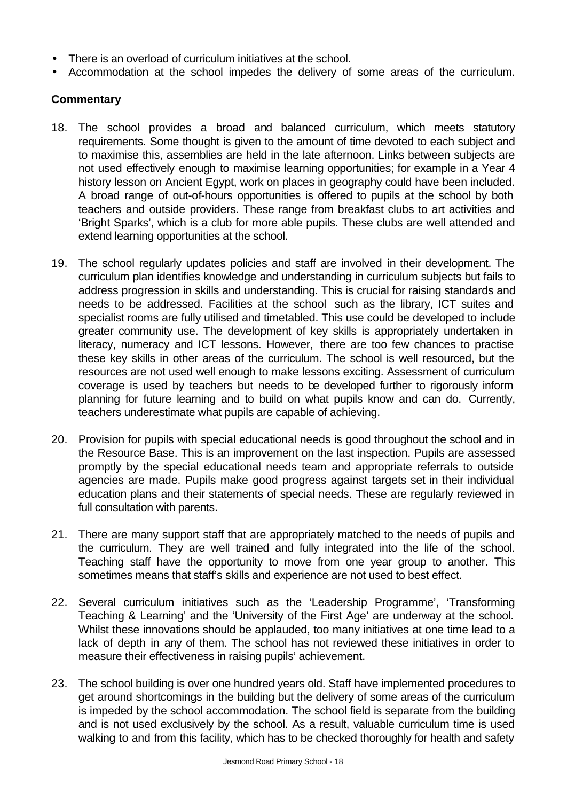- There is an overload of curriculum initiatives at the school.
- Accommodation at the school impedes the delivery of some areas of the curriculum.

### **Commentary**

- 18. The school provides a broad and balanced curriculum, which meets statutory requirements. Some thought is given to the amount of time devoted to each subject and to maximise this, assemblies are held in the late afternoon. Links between subjects are not used effectively enough to maximise learning opportunities; for example in a Year 4 history lesson on Ancient Egypt, work on places in geography could have been included. A broad range of out-of-hours opportunities is offered to pupils at the school by both teachers and outside providers. These range from breakfast clubs to art activities and 'Bright Sparks', which is a club for more able pupils. These clubs are well attended and extend learning opportunities at the school.
- 19. The school regularly updates policies and staff are involved in their development. The curriculum plan identifies knowledge and understanding in curriculum subjects but fails to address progression in skills and understanding. This is crucial for raising standards and needs to be addressed. Facilities at the school such as the library, ICT suites and specialist rooms are fully utilised and timetabled. This use could be developed to include greater community use. The development of key skills is appropriately undertaken in literacy, numeracy and ICT lessons. However, there are too few chances to practise these key skills in other areas of the curriculum. The school is well resourced, but the resources are not used well enough to make lessons exciting. Assessment of curriculum coverage is used by teachers but needs to be developed further to rigorously inform planning for future learning and to build on what pupils know and can do. Currently, teachers underestimate what pupils are capable of achieving.
- 20. Provision for pupils with special educational needs is good throughout the school and in the Resource Base. This is an improvement on the last inspection. Pupils are assessed promptly by the special educational needs team and appropriate referrals to outside agencies are made. Pupils make good progress against targets set in their individual education plans and their statements of special needs. These are regularly reviewed in full consultation with parents.
- 21. There are many support staff that are appropriately matched to the needs of pupils and the curriculum. They are well trained and fully integrated into the life of the school. Teaching staff have the opportunity to move from one year group to another. This sometimes means that staff's skills and experience are not used to best effect.
- 22. Several curriculum initiatives such as the 'Leadership Programme', 'Transforming Teaching & Learning' and the 'University of the First Age' are underway at the school. Whilst these innovations should be applauded, too many initiatives at one time lead to a lack of depth in any of them. The school has not reviewed these initiatives in order to measure their effectiveness in raising pupils' achievement.
- 23. The school building is over one hundred years old. Staff have implemented procedures to get around shortcomings in the building but the delivery of some areas of the curriculum is impeded by the school accommodation. The school field is separate from the building and is not used exclusively by the school. As a result, valuable curriculum time is used walking to and from this facility, which has to be checked thoroughly for health and safety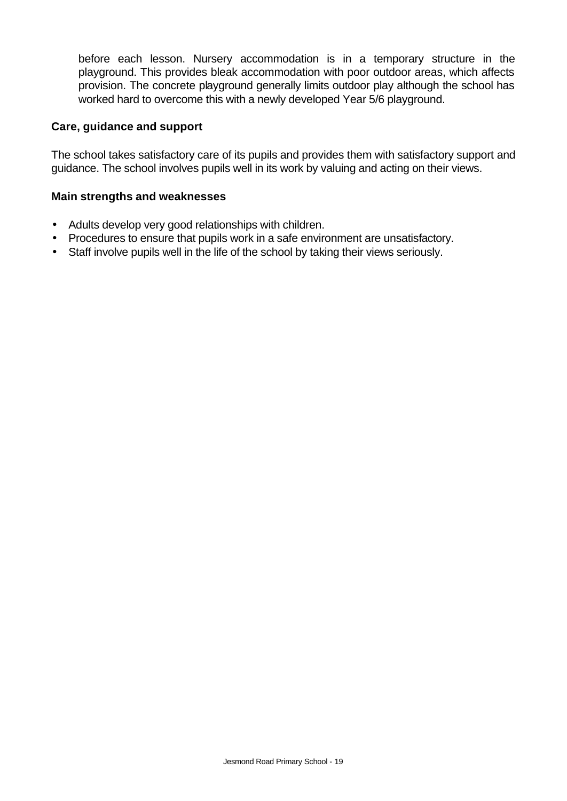before each lesson. Nursery accommodation is in a temporary structure in the playground. This provides bleak accommodation with poor outdoor areas, which affects provision. The concrete playground generally limits outdoor play although the school has worked hard to overcome this with a newly developed Year 5/6 playground.

### **Care, guidance and support**

The school takes satisfactory care of its pupils and provides them with satisfactory support and guidance. The school involves pupils well in its work by valuing and acting on their views.

### **Main strengths and weaknesses**

- Adults develop very good relationships with children.
- Procedures to ensure that pupils work in a safe environment are unsatisfactory.
- Staff involve pupils well in the life of the school by taking their views seriously.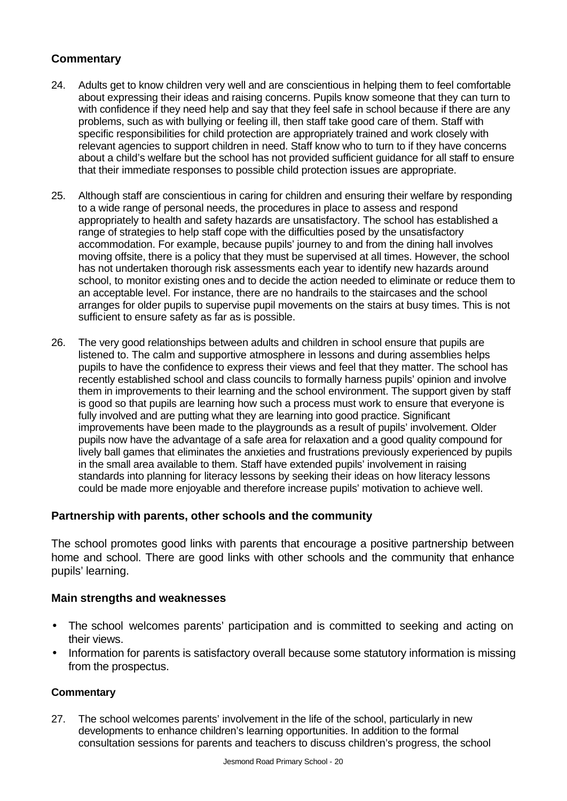# **Commentary**

- 24. Adults get to know children very well and are conscientious in helping them to feel comfortable about expressing their ideas and raising concerns. Pupils know someone that they can turn to with confidence if they need help and say that they feel safe in school because if there are any problems, such as with bullying or feeling ill, then staff take good care of them. Staff with specific responsibilities for child protection are appropriately trained and work closely with relevant agencies to support children in need. Staff know who to turn to if they have concerns about a child's welfare but the school has not provided sufficient guidance for all staff to ensure that their immediate responses to possible child protection issues are appropriate.
- 25. Although staff are conscientious in caring for children and ensuring their welfare by responding to a wide range of personal needs, the procedures in place to assess and respond appropriately to health and safety hazards are unsatisfactory. The school has established a range of strategies to help staff cope with the difficulties posed by the unsatisfactory accommodation. For example, because pupils' journey to and from the dining hall involves moving offsite, there is a policy that they must be supervised at all times. However, the school has not undertaken thorough risk assessments each year to identify new hazards around school, to monitor existing ones and to decide the action needed to eliminate or reduce them to an acceptable level. For instance, there are no handrails to the staircases and the school arranges for older pupils to supervise pupil movements on the stairs at busy times. This is not sufficient to ensure safety as far as is possible.
- 26. The very good relationships between adults and children in school ensure that pupils are listened to. The calm and supportive atmosphere in lessons and during assemblies helps pupils to have the confidence to express their views and feel that they matter. The school has recently established school and class councils to formally harness pupils' opinion and involve them in improvements to their learning and the school environment. The support given by staff is good so that pupils are learning how such a process must work to ensure that everyone is fully involved and are putting what they are learning into good practice. Significant improvements have been made to the playgrounds as a result of pupils' involvement. Older pupils now have the advantage of a safe area for relaxation and a good quality compound for lively ball games that eliminates the anxieties and frustrations previously experienced by pupils in the small area available to them. Staff have extended pupils' involvement in raising standards into planning for literacy lessons by seeking their ideas on how literacy lessons could be made more enjoyable and therefore increase pupils' motivation to achieve well.

### **Partnership with parents, other schools and the community**

The school promotes good links with parents that encourage a positive partnership between home and school. There are good links with other schools and the community that enhance pupils' learning.

### **Main strengths and weaknesses**

- The school welcomes parents' participation and is committed to seeking and acting on their views.
- Information for parents is satisfactory overall because some statutory information is missing from the prospectus.

### **Commentary**

27. The school welcomes parents' involvement in the life of the school, particularly in new developments to enhance children's learning opportunities. In addition to the formal consultation sessions for parents and teachers to discuss children's progress, the school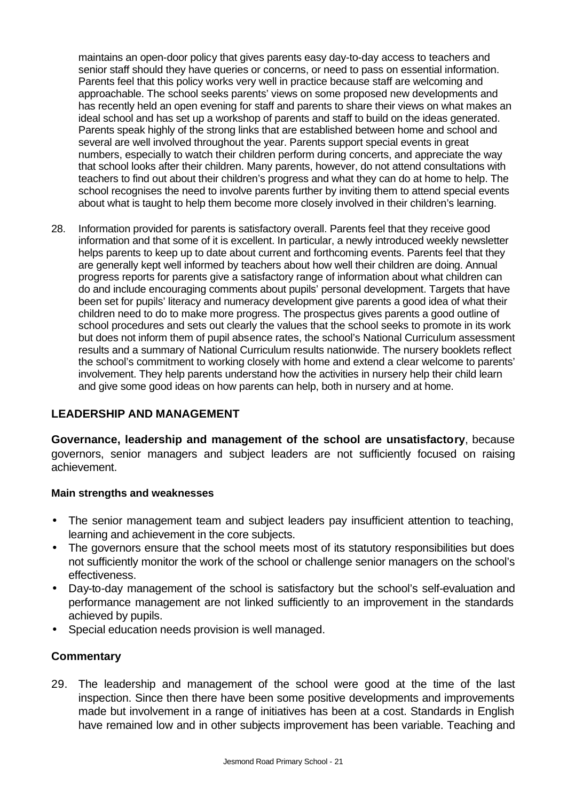maintains an open-door policy that gives parents easy day-to-day access to teachers and senior staff should they have queries or concerns, or need to pass on essential information. Parents feel that this policy works very well in practice because staff are welcoming and approachable. The school seeks parents' views on some proposed new developments and has recently held an open evening for staff and parents to share their views on what makes an ideal school and has set up a workshop of parents and staff to build on the ideas generated. Parents speak highly of the strong links that are established between home and school and several are well involved throughout the year. Parents support special events in great numbers, especially to watch their children perform during concerts, and appreciate the way that school looks after their children. Many parents, however, do not attend consultations with teachers to find out about their children's progress and what they can do at home to help. The school recognises the need to involve parents further by inviting them to attend special events about what is taught to help them become more closely involved in their children's learning.

28. Information provided for parents is satisfactory overall. Parents feel that they receive good information and that some of it is excellent. In particular, a newly introduced weekly newsletter helps parents to keep up to date about current and forthcoming events. Parents feel that they are generally kept well informed by teachers about how well their children are doing. Annual progress reports for parents give a satisfactory range of information about what children can do and include encouraging comments about pupils' personal development. Targets that have been set for pupils' literacy and numeracy development give parents a good idea of what their children need to do to make more progress. The prospectus gives parents a good outline of school procedures and sets out clearly the values that the school seeks to promote in its work but does not inform them of pupil absence rates, the school's National Curriculum assessment results and a summary of National Curriculum results nationwide. The nursery booklets reflect the school's commitment to working closely with home and extend a clear welcome to parents' involvement. They help parents understand how the activities in nursery help their child learn and give some good ideas on how parents can help, both in nursery and at home.

# **LEADERSHIP AND MANAGEMENT**

**Governance, leadership and management of the school are unsatisfactory**, because governors, senior managers and subject leaders are not sufficiently focused on raising achievement.

### **Main strengths and weaknesses**

- The senior management team and subject leaders pay insufficient attention to teaching, learning and achievement in the core subjects.
- The governors ensure that the school meets most of its statutory responsibilities but does not sufficiently monitor the work of the school or challenge senior managers on the school's effectiveness.
- Day-to-day management of the school is satisfactory but the school's self-evaluation and performance management are not linked sufficiently to an improvement in the standards achieved by pupils.
- Special education needs provision is well managed.

### **Commentary**

29. The leadership and management of the school were good at the time of the last inspection. Since then there have been some positive developments and improvements made but involvement in a range of initiatives has been at a cost. Standards in English have remained low and in other subjects improvement has been variable. Teaching and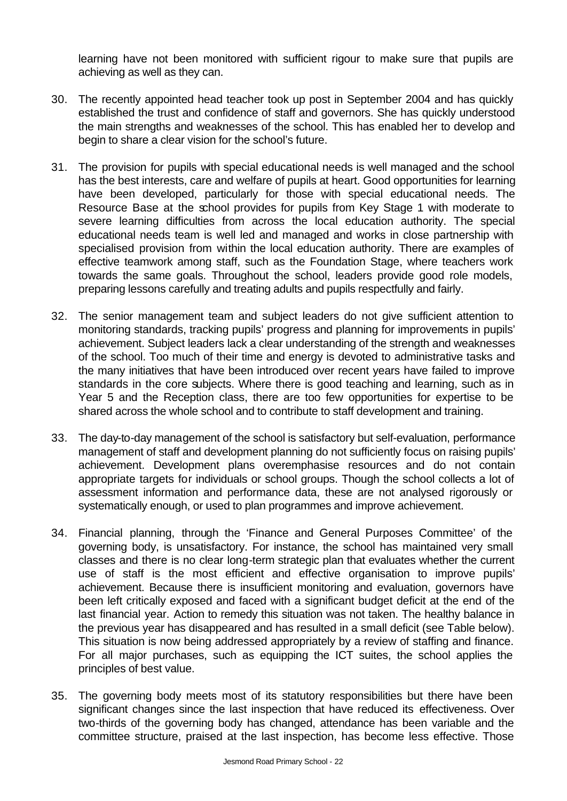learning have not been monitored with sufficient rigour to make sure that pupils are achieving as well as they can.

- 30. The recently appointed head teacher took up post in September 2004 and has quickly established the trust and confidence of staff and governors. She has quickly understood the main strengths and weaknesses of the school. This has enabled her to develop and begin to share a clear vision for the school's future.
- 31. The provision for pupils with special educational needs is well managed and the school has the best interests, care and welfare of pupils at heart. Good opportunities for learning have been developed, particularly for those with special educational needs. The Resource Base at the school provides for pupils from Key Stage 1 with moderate to severe learning difficulties from across the local education authority. The special educational needs team is well led and managed and works in close partnership with specialised provision from within the local education authority. There are examples of effective teamwork among staff, such as the Foundation Stage, where teachers work towards the same goals. Throughout the school, leaders provide good role models, preparing lessons carefully and treating adults and pupils respectfully and fairly.
- 32. The senior management team and subject leaders do not give sufficient attention to monitoring standards, tracking pupils' progress and planning for improvements in pupils' achievement. Subject leaders lack a clear understanding of the strength and weaknesses of the school. Too much of their time and energy is devoted to administrative tasks and the many initiatives that have been introduced over recent years have failed to improve standards in the core subjects. Where there is good teaching and learning, such as in Year 5 and the Reception class, there are too few opportunities for expertise to be shared across the whole school and to contribute to staff development and training.
- 33. The day-to-day management of the school is satisfactory but self-evaluation, performance management of staff and development planning do not sufficiently focus on raising pupils' achievement. Development plans overemphasise resources and do not contain appropriate targets for individuals or school groups. Though the school collects a lot of assessment information and performance data, these are not analysed rigorously or systematically enough, or used to plan programmes and improve achievement.
- 34. Financial planning, through the 'Finance and General Purposes Committee' of the governing body, is unsatisfactory. For instance, the school has maintained very small classes and there is no clear long-term strategic plan that evaluates whether the current use of staff is the most efficient and effective organisation to improve pupils' achievement. Because there is insufficient monitoring and evaluation, governors have been left critically exposed and faced with a significant budget deficit at the end of the last financial year. Action to remedy this situation was not taken. The healthy balance in the previous year has disappeared and has resulted in a small deficit (see Table below). This situation is now being addressed appropriately by a review of staffing and finance. For all major purchases, such as equipping the ICT suites, the school applies the principles of best value.
- 35. The governing body meets most of its statutory responsibilities but there have been significant changes since the last inspection that have reduced its effectiveness. Over two-thirds of the governing body has changed, attendance has been variable and the committee structure, praised at the last inspection, has become less effective. Those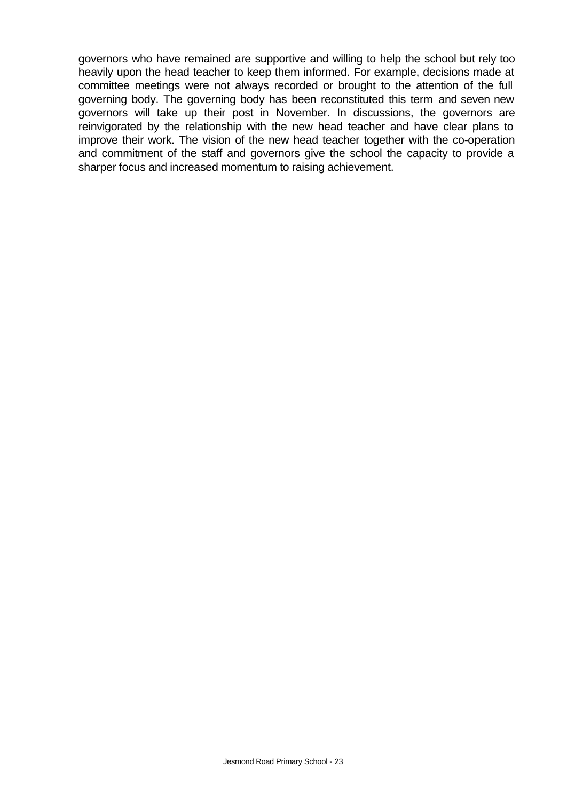governors who have remained are supportive and willing to help the school but rely too heavily upon the head teacher to keep them informed. For example, decisions made at committee meetings were not always recorded or brought to the attention of the full governing body. The governing body has been reconstituted this term and seven new governors will take up their post in November. In discussions, the governors are reinvigorated by the relationship with the new head teacher and have clear plans to improve their work. The vision of the new head teacher together with the co-operation and commitment of the staff and governors give the school the capacity to provide a sharper focus and increased momentum to raising achievement.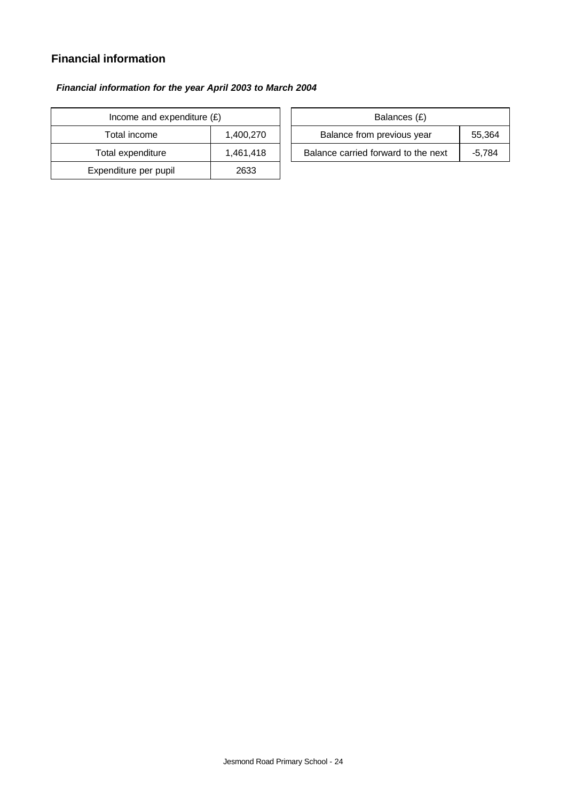# **Financial information**

### *Financial information for the year April 2003 to March 2004*

| Income and expenditure $(E)$ |           | Balances (£) |                                |
|------------------------------|-----------|--------------|--------------------------------|
| 1,400,270<br>Total income    |           |              | Balance from previous yea      |
| Total expenditure            | 1,461,418 |              | Balance carried forward to the |
| Expenditure per pupil        | 2633      |              |                                |

| Income and expenditure $(E)$ |           | Balances (£)                        |        |  |
|------------------------------|-----------|-------------------------------------|--------|--|
| Total income                 | 1.400.270 | Balance from previous year          | 55,364 |  |
| Total expenditure            | 1.461.418 | Balance carried forward to the next | -5.784 |  |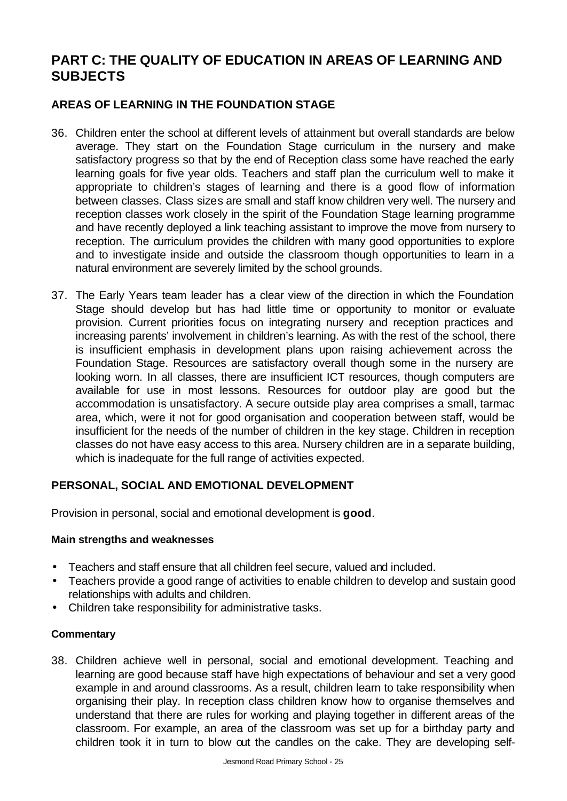# **PART C: THE QUALITY OF EDUCATION IN AREAS OF LEARNING AND SUBJECTS**

# **AREAS OF LEARNING IN THE FOUNDATION STAGE**

- 36. Children enter the school at different levels of attainment but overall standards are below average. They start on the Foundation Stage curriculum in the nursery and make satisfactory progress so that by the end of Reception class some have reached the early learning goals for five year olds. Teachers and staff plan the curriculum well to make it appropriate to children's stages of learning and there is a good flow of information between classes. Class sizes are small and staff know children very well. The nursery and reception classes work closely in the spirit of the Foundation Stage learning programme and have recently deployed a link teaching assistant to improve the move from nursery to reception. The curriculum provides the children with many good opportunities to explore and to investigate inside and outside the classroom though opportunities to learn in a natural environment are severely limited by the school grounds.
- 37. The Early Years team leader has a clear view of the direction in which the Foundation Stage should develop but has had little time or opportunity to monitor or evaluate provision. Current priorities focus on integrating nursery and reception practices and increasing parents' involvement in children's learning. As with the rest of the school, there is insufficient emphasis in development plans upon raising achievement across the Foundation Stage. Resources are satisfactory overall though some in the nursery are looking worn. In all classes, there are insufficient ICT resources, though computers are available for use in most lessons. Resources for outdoor play are good but the accommodation is unsatisfactory. A secure outside play area comprises a small, tarmac area, which, were it not for good organisation and cooperation between staff, would be insufficient for the needs of the number of children in the key stage. Children in reception classes do not have easy access to this area. Nursery children are in a separate building, which is inadequate for the full range of activities expected.

### **PERSONAL, SOCIAL AND EMOTIONAL DEVELOPMENT**

Provision in personal, social and emotional development is **good**.

### **Main strengths and weaknesses**

- Teachers and staff ensure that all children feel secure, valued and included.
- Teachers provide a good range of activities to enable children to develop and sustain good relationships with adults and children.
- Children take responsibility for administrative tasks.

### **Commentary**

38. Children achieve well in personal, social and emotional development. Teaching and learning are good because staff have high expectations of behaviour and set a very good example in and around classrooms. As a result, children learn to take responsibility when organising their play. In reception class children know how to organise themselves and understand that there are rules for working and playing together in different areas of the classroom. For example, an area of the classroom was set up for a birthday party and children took it in turn to blow out the candles on the cake. They are developing self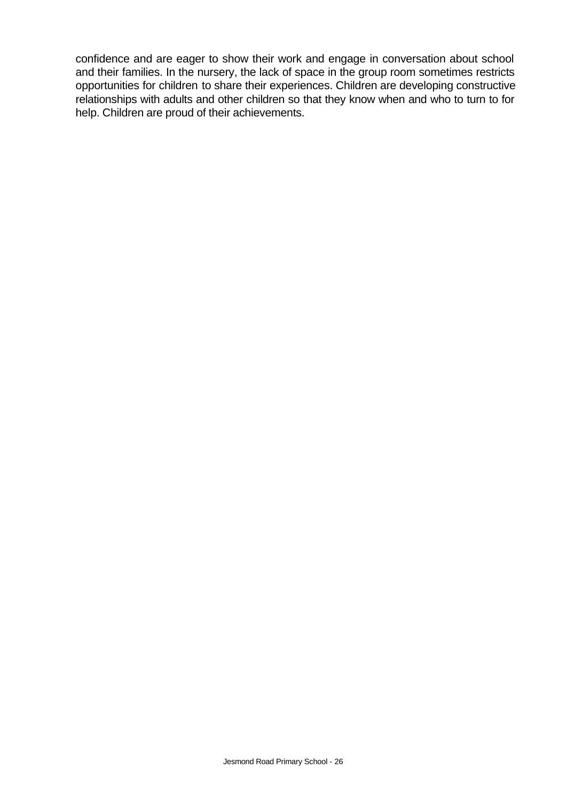confidence and are eager to show their work and engage in conversation about school and their families. In the nursery, the lack of space in the group room sometimes restricts opportunities for children to share their experiences. Children are developing constructive relationships with adults and other children so that they know when and who to turn to for help. Children are proud of their achievements.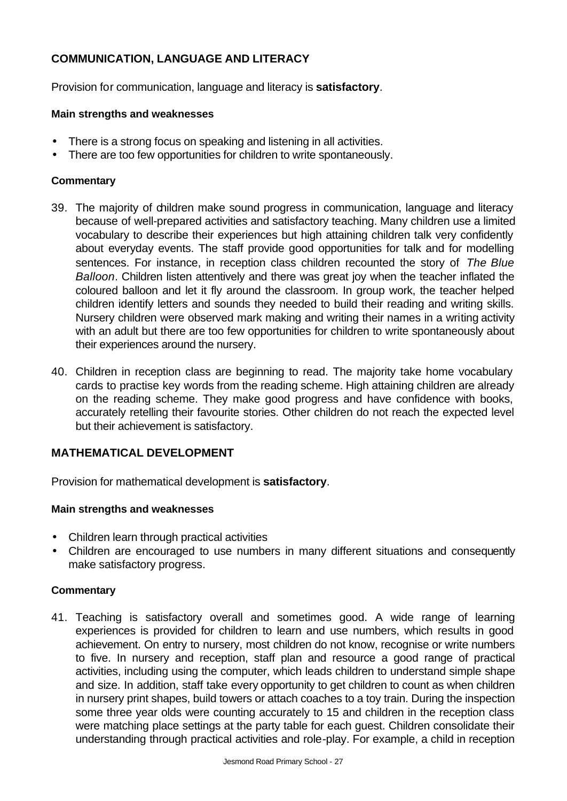# **COMMUNICATION, LANGUAGE AND LITERACY**

Provision for communication, language and literacy is **satisfactory**.

### **Main strengths and weaknesses**

- There is a strong focus on speaking and listening in all activities.
- There are too few opportunities for children to write spontaneously.

### **Commentary**

- 39. The majority of children make sound progress in communication, language and literacy because of well-prepared activities and satisfactory teaching. Many children use a limited vocabulary to describe their experiences but high attaining children talk very confidently about everyday events. The staff provide good opportunities for talk and for modelling sentences. For instance, in reception class children recounted the story of *The Blue Balloon*. Children listen attentively and there was great joy when the teacher inflated the coloured balloon and let it fly around the classroom. In group work, the teacher helped children identify letters and sounds they needed to build their reading and writing skills. Nursery children were observed mark making and writing their names in a writing activity with an adult but there are too few opportunities for children to write spontaneously about their experiences around the nursery.
- 40. Children in reception class are beginning to read. The majority take home vocabulary cards to practise key words from the reading scheme. High attaining children are already on the reading scheme. They make good progress and have confidence with books, accurately retelling their favourite stories. Other children do not reach the expected level but their achievement is satisfactory.

### **MATHEMATICAL DEVELOPMENT**

Provision for mathematical development is **satisfactory**.

### **Main strengths and weaknesses**

- Children learn through practical activities
- Children are encouraged to use numbers in many different situations and consequently make satisfactory progress.

### **Commentary**

41. Teaching is satisfactory overall and sometimes good. A wide range of learning experiences is provided for children to learn and use numbers, which results in good achievement. On entry to nursery, most children do not know, recognise or write numbers to five. In nursery and reception, staff plan and resource a good range of practical activities, including using the computer, which leads children to understand simple shape and size. In addition, staff take every opportunity to get children to count as when children in nursery print shapes, build towers or attach coaches to a toy train. During the inspection some three year olds were counting accurately to 15 and children in the reception class were matching place settings at the party table for each guest. Children consolidate their understanding through practical activities and role-play. For example, a child in reception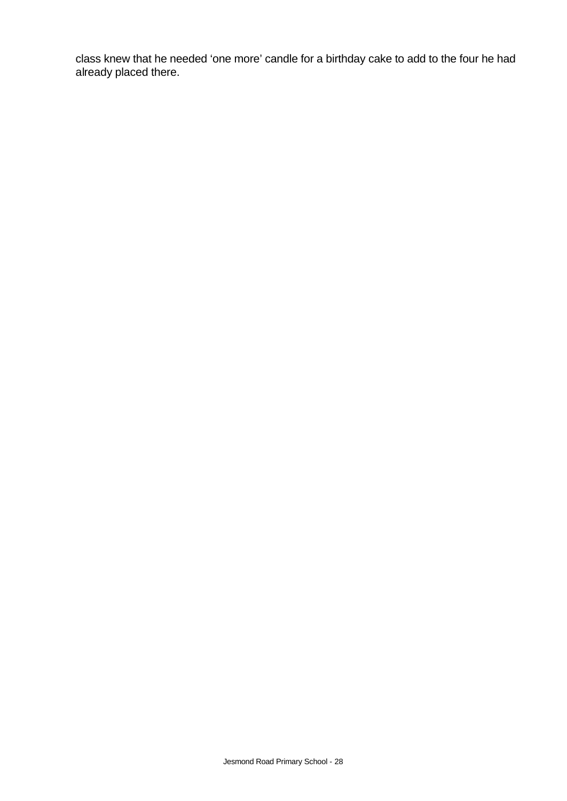class knew that he needed 'one more' candle for a birthday cake to add to the four he had already placed there.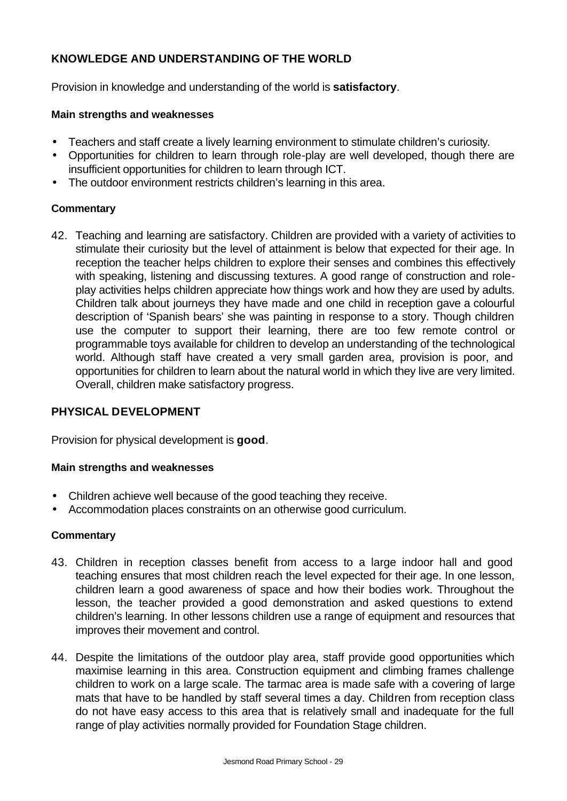# **KNOWLEDGE AND UNDERSTANDING OF THE WORLD**

Provision in knowledge and understanding of the world is **satisfactory**.

### **Main strengths and weaknesses**

- Teachers and staff create a lively learning environment to stimulate children's curiosity.
- Opportunities for children to learn through role-play are well developed, though there are insufficient opportunities for children to learn through ICT.
- The outdoor environment restricts children's learning in this area.

### **Commentary**

42. Teaching and learning are satisfactory. Children are provided with a variety of activities to stimulate their curiosity but the level of attainment is below that expected for their age. In reception the teacher helps children to explore their senses and combines this effectively with speaking, listening and discussing textures. A good range of construction and roleplay activities helps children appreciate how things work and how they are used by adults. Children talk about journeys they have made and one child in reception gave a colourful description of 'Spanish bears' she was painting in response to a story. Though children use the computer to support their learning, there are too few remote control or programmable toys available for children to develop an understanding of the technological world. Although staff have created a very small garden area, provision is poor, and opportunities for children to learn about the natural world in which they live are very limited. Overall, children make satisfactory progress.

# **PHYSICAL DEVELOPMENT**

Provision for physical development is **good**.

### **Main strengths and weaknesses**

- Children achieve well because of the good teaching they receive.
- Accommodation places constraints on an otherwise good curriculum.

### **Commentary**

- 43. Children in reception classes benefit from access to a large indoor hall and good teaching ensures that most children reach the level expected for their age. In one lesson, children learn a good awareness of space and how their bodies work. Throughout the lesson, the teacher provided a good demonstration and asked questions to extend children's learning. In other lessons children use a range of equipment and resources that improves their movement and control.
- 44. Despite the limitations of the outdoor play area, staff provide good opportunities which maximise learning in this area. Construction equipment and climbing frames challenge children to work on a large scale. The tarmac area is made safe with a covering of large mats that have to be handled by staff several times a day. Children from reception class do not have easy access to this area that is relatively small and inadequate for the full range of play activities normally provided for Foundation Stage children.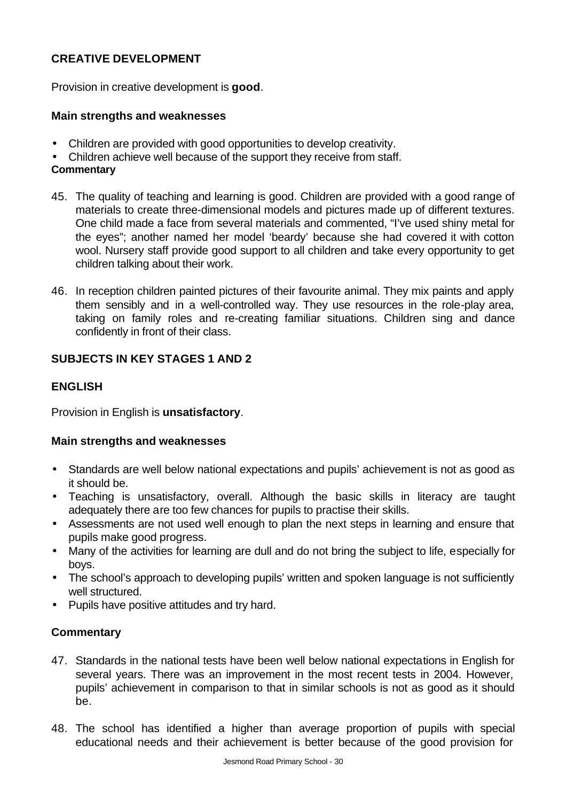# **CREATIVE DEVELOPMENT**

Provision in creative development is **good**.

### **Main strengths and weaknesses**

- Children are provided with good opportunities to develop creativity.
- Children achieve well because of the support they receive from staff.

# **Commentary**

- 45. The quality of teaching and learning is good. Children are provided with a good range of materials to create three-dimensional models and pictures made up of different textures. One child made a face from several materials and commented, "I've used shiny metal for the eyes"; another named her model 'beardy' because she had covered it with cotton wool. Nursery staff provide good support to all children and take every opportunity to get children talking about their work.
- 46. In reception children painted pictures of their favourite animal. They mix paints and apply them sensibly and in a well-controlled way. They use resources in the role-play area, taking on family roles and re-creating familiar situations. Children sing and dance confidently in front of their class.

# **SUBJECTS IN KEY STAGES 1 AND 2**

# **ENGLISH**

Provision in English is **unsatisfactory**.

### **Main strengths and weaknesses**

- Standards are well below national expectations and pupils' achievement is not as good as it should be.
- Teaching is unsatisfactory, overall. Although the basic skills in literacy are taught adequately there are too few chances for pupils to practise their skills.
- Assessments are not used well enough to plan the next steps in learning and ensure that pupils make good progress.
- Many of the activities for learning are dull and do not bring the subject to life, especially for boys.
- The school's approach to developing pupils' written and spoken language is not sufficiently well structured.
- Pupils have positive attitudes and try hard.

# **Commentary**

- 47. Standards in the national tests have been well below national expectations in English for several years. There was an improvement in the most recent tests in 2004. However, pupils' achievement in comparison to that in similar schools is not as good as it should be.
- 48. The school has identified a higher than average proportion of pupils with special educational needs and their achievement is better because of the good provision for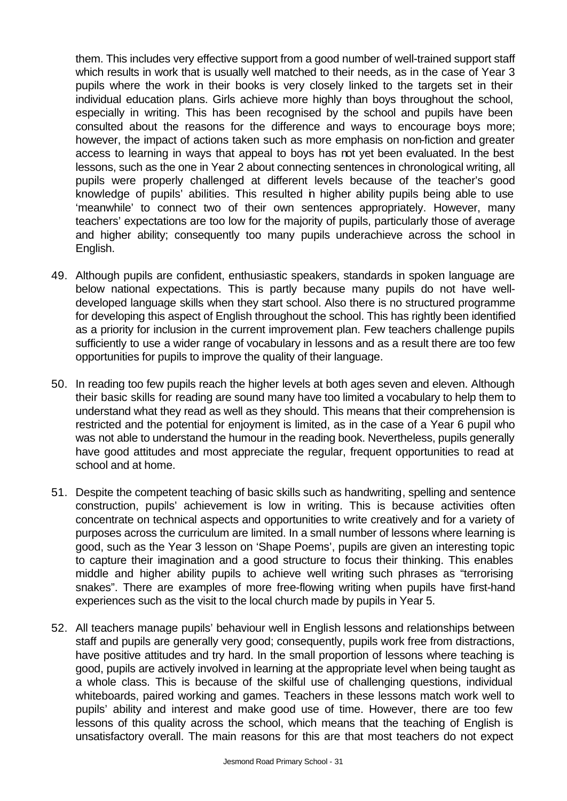them. This includes very effective support from a good number of well-trained support staff which results in work that is usually well matched to their needs, as in the case of Year 3 pupils where the work in their books is very closely linked to the targets set in their individual education plans. Girls achieve more highly than boys throughout the school, especially in writing. This has been recognised by the school and pupils have been consulted about the reasons for the difference and ways to encourage boys more; however, the impact of actions taken such as more emphasis on non-fiction and greater access to learning in ways that appeal to boys has not yet been evaluated. In the best lessons, such as the one in Year 2 about connecting sentences in chronological writing, all pupils were properly challenged at different levels because of the teacher's good knowledge of pupils' abilities. This resulted in higher ability pupils being able to use 'meanwhile' to connect two of their own sentences appropriately. However, many teachers' expectations are too low for the majority of pupils, particularly those of average and higher ability; consequently too many pupils underachieve across the school in English.

- 49. Although pupils are confident, enthusiastic speakers, standards in spoken language are below national expectations. This is partly because many pupils do not have welldeveloped language skills when they start school. Also there is no structured programme for developing this aspect of English throughout the school. This has rightly been identified as a priority for inclusion in the current improvement plan. Few teachers challenge pupils sufficiently to use a wider range of vocabulary in lessons and as a result there are too few opportunities for pupils to improve the quality of their language.
- 50. In reading too few pupils reach the higher levels at both ages seven and eleven. Although their basic skills for reading are sound many have too limited a vocabulary to help them to understand what they read as well as they should. This means that their comprehension is restricted and the potential for enjoyment is limited, as in the case of a Year 6 pupil who was not able to understand the humour in the reading book. Nevertheless, pupils generally have good attitudes and most appreciate the regular, frequent opportunities to read at school and at home.
- 51. Despite the competent teaching of basic skills such as handwriting, spelling and sentence construction, pupils' achievement is low in writing. This is because activities often concentrate on technical aspects and opportunities to write creatively and for a variety of purposes across the curriculum are limited. In a small number of lessons where learning is good, such as the Year 3 lesson on 'Shape Poems', pupils are given an interesting topic to capture their imagination and a good structure to focus their thinking. This enables middle and higher ability pupils to achieve well writing such phrases as "terrorising snakes". There are examples of more free-flowing writing when pupils have first-hand experiences such as the visit to the local church made by pupils in Year 5.
- 52. All teachers manage pupils' behaviour well in English lessons and relationships between staff and pupils are generally very good; consequently, pupils work free from distractions, have positive attitudes and try hard. In the small proportion of lessons where teaching is good, pupils are actively involved in learning at the appropriate level when being taught as a whole class. This is because of the skilful use of challenging questions, individual whiteboards, paired working and games. Teachers in these lessons match work well to pupils' ability and interest and make good use of time. However, there are too few lessons of this quality across the school, which means that the teaching of English is unsatisfactory overall. The main reasons for this are that most teachers do not expect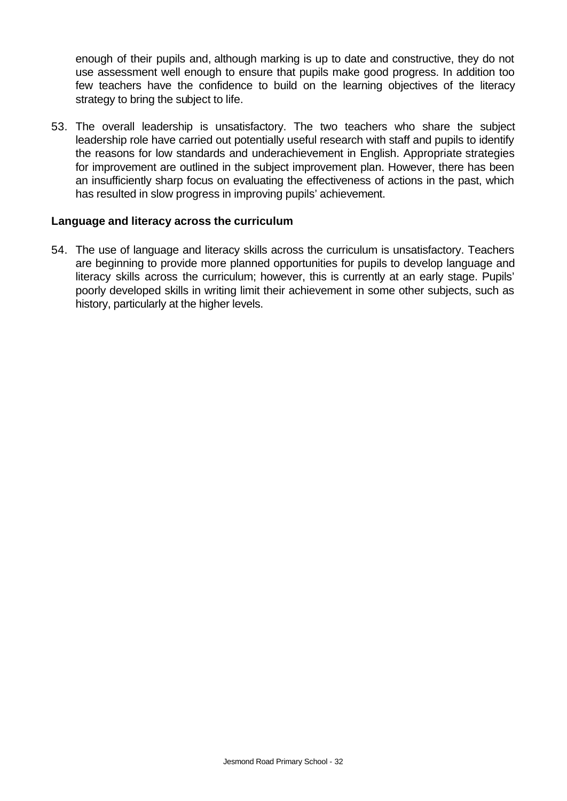enough of their pupils and, although marking is up to date and constructive, they do not use assessment well enough to ensure that pupils make good progress. In addition too few teachers have the confidence to build on the learning objectives of the literacy strategy to bring the subject to life.

53. The overall leadership is unsatisfactory. The two teachers who share the subject leadership role have carried out potentially useful research with staff and pupils to identify the reasons for low standards and underachievement in English. Appropriate strategies for improvement are outlined in the subject improvement plan. However, there has been an insufficiently sharp focus on evaluating the effectiveness of actions in the past, which has resulted in slow progress in improving pupils' achievement.

### **Language and literacy across the curriculum**

54. The use of language and literacy skills across the curriculum is unsatisfactory. Teachers are beginning to provide more planned opportunities for pupils to develop language and literacy skills across the curriculum; however, this is currently at an early stage. Pupils' poorly developed skills in writing limit their achievement in some other subjects, such as history, particularly at the higher levels.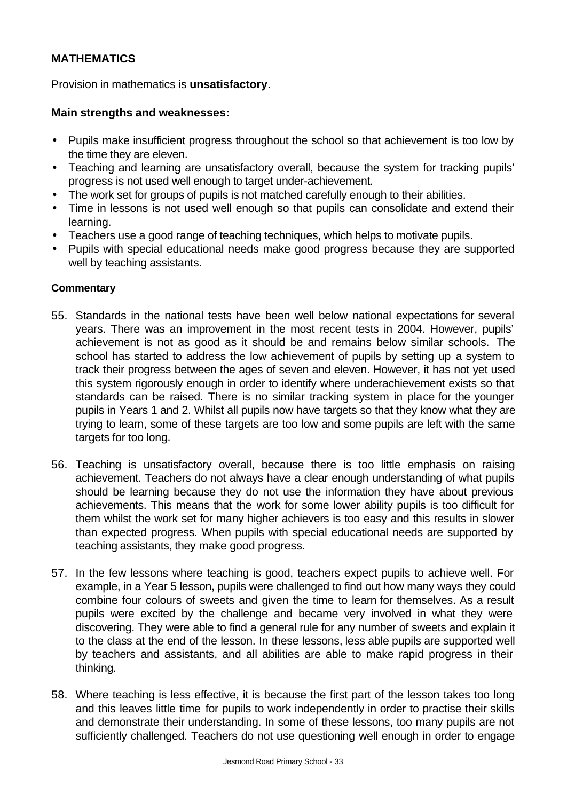# **MATHEMATICS**

Provision in mathematics is **unsatisfactory**.

### **Main strengths and weaknesses:**

- Pupils make insufficient progress throughout the school so that achievement is too low by the time they are eleven.
- Teaching and learning are unsatisfactory overall, because the system for tracking pupils' progress is not used well enough to target under-achievement.
- The work set for groups of pupils is not matched carefully enough to their abilities.
- Time in lessons is not used well enough so that pupils can consolidate and extend their learning.
- Teachers use a good range of teaching techniques, which helps to motivate pupils.
- Pupils with special educational needs make good progress because they are supported well by teaching assistants.

### **Commentary**

- 55. Standards in the national tests have been well below national expectations for several years. There was an improvement in the most recent tests in 2004. However, pupils' achievement is not as good as it should be and remains below similar schools. The school has started to address the low achievement of pupils by setting up a system to track their progress between the ages of seven and eleven. However, it has not yet used this system rigorously enough in order to identify where underachievement exists so that standards can be raised. There is no similar tracking system in place for the younger pupils in Years 1 and 2. Whilst all pupils now have targets so that they know what they are trying to learn, some of these targets are too low and some pupils are left with the same targets for too long.
- 56. Teaching is unsatisfactory overall, because there is too little emphasis on raising achievement. Teachers do not always have a clear enough understanding of what pupils should be learning because they do not use the information they have about previous achievements. This means that the work for some lower ability pupils is too difficult for them whilst the work set for many higher achievers is too easy and this results in slower than expected progress. When pupils with special educational needs are supported by teaching assistants, they make good progress.
- 57. In the few lessons where teaching is good, teachers expect pupils to achieve well. For example, in a Year 5 lesson, pupils were challenged to find out how many ways they could combine four colours of sweets and given the time to learn for themselves. As a result pupils were excited by the challenge and became very involved in what they were discovering. They were able to find a general rule for any number of sweets and explain it to the class at the end of the lesson. In these lessons, less able pupils are supported well by teachers and assistants, and all abilities are able to make rapid progress in their thinking.
- 58. Where teaching is less effective, it is because the first part of the lesson takes too long and this leaves little time for pupils to work independently in order to practise their skills and demonstrate their understanding. In some of these lessons, too many pupils are not sufficiently challenged. Teachers do not use questioning well enough in order to engage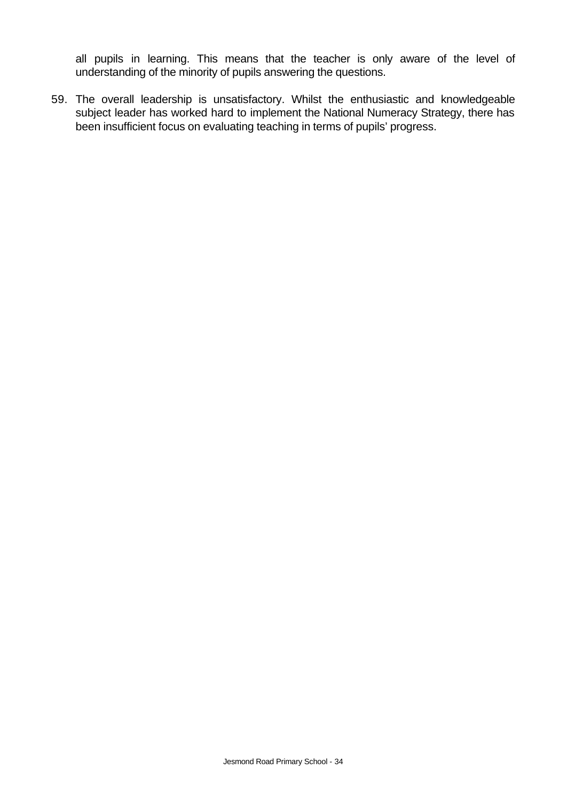all pupils in learning. This means that the teacher is only aware of the level of understanding of the minority of pupils answering the questions.

59. The overall leadership is unsatisfactory. Whilst the enthusiastic and knowledgeable subject leader has worked hard to implement the National Numeracy Strategy, there has been insufficient focus on evaluating teaching in terms of pupils' progress.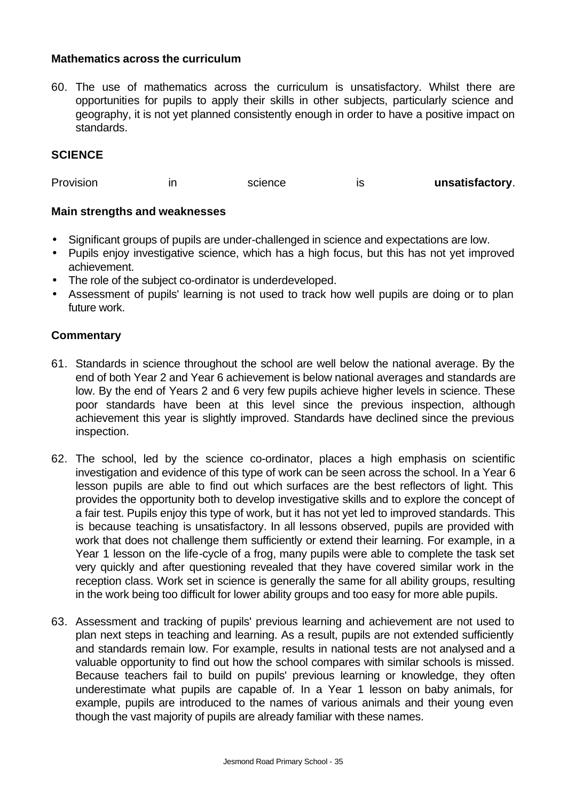### **Mathematics across the curriculum**

60. The use of mathematics across the curriculum is unsatisfactory. Whilst there are opportunities for pupils to apply their skills in other subjects, particularly science and geography, it is not yet planned consistently enough in order to have a positive impact on standards.

### **SCIENCE**

Provision in science is unsatisfactory.

### **Main strengths and weaknesses**

- Significant groups of pupils are under-challenged in science and expectations are low.
- Pupils enjoy investigative science, which has a high focus, but this has not yet improved achievement.
- The role of the subject co-ordinator is underdeveloped.
- Assessment of pupils' learning is not used to track how well pupils are doing or to plan future work.

### **Commentary**

- 61. Standards in science throughout the school are well below the national average. By the end of both Year 2 and Year 6 achievement is below national averages and standards are low. By the end of Years 2 and 6 very few pupils achieve higher levels in science. These poor standards have been at this level since the previous inspection, although achievement this year is slightly improved. Standards have declined since the previous inspection.
- 62. The school, led by the science co-ordinator, places a high emphasis on scientific investigation and evidence of this type of work can be seen across the school. In a Year 6 lesson pupils are able to find out which surfaces are the best reflectors of light. This provides the opportunity both to develop investigative skills and to explore the concept of a fair test. Pupils enjoy this type of work, but it has not yet led to improved standards. This is because teaching is unsatisfactory. In all lessons observed, pupils are provided with work that does not challenge them sufficiently or extend their learning. For example, in a Year 1 lesson on the life-cycle of a frog, many pupils were able to complete the task set very quickly and after questioning revealed that they have covered similar work in the reception class. Work set in science is generally the same for all ability groups, resulting in the work being too difficult for lower ability groups and too easy for more able pupils.
- 63. Assessment and tracking of pupils' previous learning and achievement are not used to plan next steps in teaching and learning. As a result, pupils are not extended sufficiently and standards remain low. For example, results in national tests are not analysed and a valuable opportunity to find out how the school compares with similar schools is missed. Because teachers fail to build on pupils' previous learning or knowledge, they often underestimate what pupils are capable of. In a Year 1 lesson on baby animals, for example, pupils are introduced to the names of various animals and their young even though the vast majority of pupils are already familiar with these names.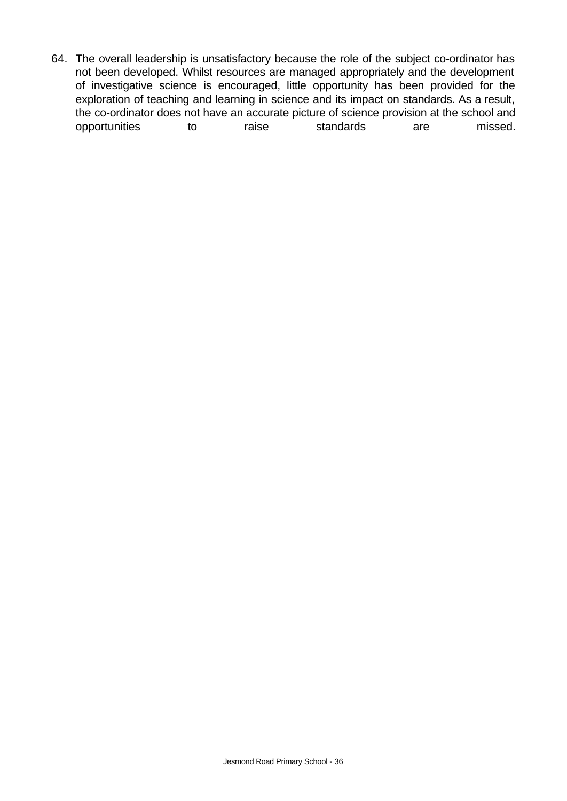64. The overall leadership is unsatisfactory because the role of the subject co-ordinator has not been developed. Whilst resources are managed appropriately and the development of investigative science is encouraged, little opportunity has been provided for the exploration of teaching and learning in science and its impact on standards. As a result, the co-ordinator does not have an accurate picture of science provision at the school and opportunities to raise standards are missed.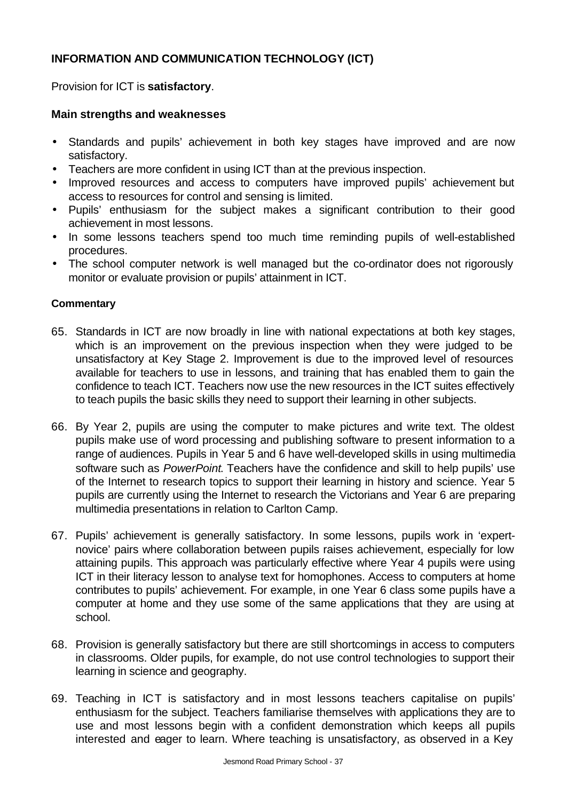# **INFORMATION AND COMMUNICATION TECHNOLOGY (ICT)**

Provision for ICT is **satisfactory**.

### **Main strengths and weaknesses**

- Standards and pupils' achievement in both key stages have improved and are now satisfactory.
- Teachers are more confident in using ICT than at the previous inspection.
- Improved resources and access to computers have improved pupils' achievement but access to resources for control and sensing is limited.
- Pupils' enthusiasm for the subject makes a significant contribution to their good achievement in most lessons.
- In some lessons teachers spend too much time reminding pupils of well-established procedures.
- The school computer network is well managed but the co-ordinator does not rigorously monitor or evaluate provision or pupils' attainment in ICT.

### **Commentary**

- 65. Standards in ICT are now broadly in line with national expectations at both key stages, which is an improvement on the previous inspection when they were judged to be unsatisfactory at Key Stage 2. Improvement is due to the improved level of resources available for teachers to use in lessons, and training that has enabled them to gain the confidence to teach ICT. Teachers now use the new resources in the ICT suites effectively to teach pupils the basic skills they need to support their learning in other subjects.
- 66. By Year 2, pupils are using the computer to make pictures and write text. The oldest pupils make use of word processing and publishing software to present information to a range of audiences. Pupils in Year 5 and 6 have well-developed skills in using multimedia software such as *PowerPoint*. Teachers have the confidence and skill to help pupils' use of the Internet to research topics to support their learning in history and science. Year 5 pupils are currently using the Internet to research the Victorians and Year 6 are preparing multimedia presentations in relation to Carlton Camp.
- 67. Pupils' achievement is generally satisfactory. In some lessons, pupils work in 'expertnovice' pairs where collaboration between pupils raises achievement, especially for low attaining pupils. This approach was particularly effective where Year 4 pupils were using ICT in their literacy lesson to analyse text for homophones. Access to computers at home contributes to pupils' achievement. For example, in one Year 6 class some pupils have a computer at home and they use some of the same applications that they are using at school.
- 68. Provision is generally satisfactory but there are still shortcomings in access to computers in classrooms. Older pupils, for example, do not use control technologies to support their learning in science and geography.
- 69. Teaching in ICT is satisfactory and in most lessons teachers capitalise on pupils' enthusiasm for the subject. Teachers familiarise themselves with applications they are to use and most lessons begin with a confident demonstration which keeps all pupils interested and eager to learn. Where teaching is unsatisfactory, as observed in a Key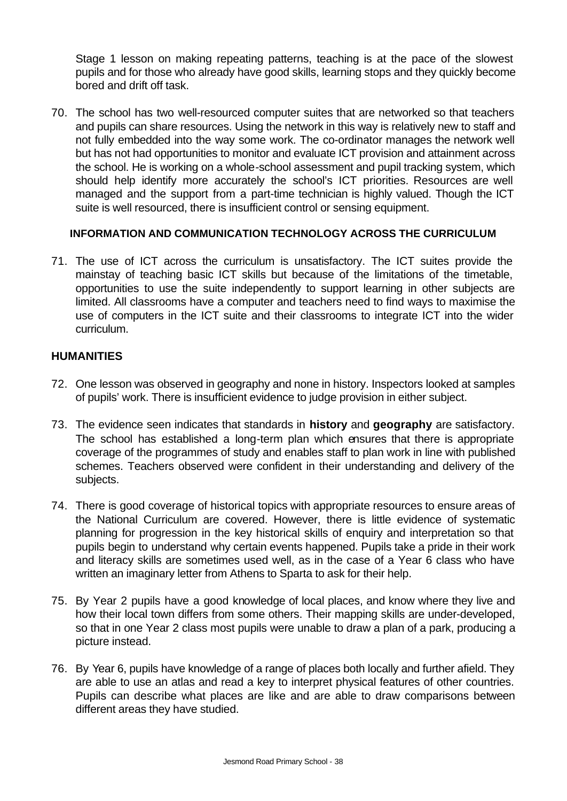Stage 1 lesson on making repeating patterns, teaching is at the pace of the slowest pupils and for those who already have good skills, learning stops and they quickly become bored and drift off task.

70. The school has two well-resourced computer suites that are networked so that teachers and pupils can share resources. Using the network in this way is relatively new to staff and not fully embedded into the way some work. The co-ordinator manages the network well but has not had opportunities to monitor and evaluate ICT provision and attainment across the school. He is working on a whole-school assessment and pupil tracking system, which should help identify more accurately the school's ICT priorities. Resources are well managed and the support from a part-time technician is highly valued. Though the ICT suite is well resourced, there is insufficient control or sensing equipment.

### **INFORMATION AND COMMUNICATION TECHNOLOGY ACROSS THE CURRICULUM**

71. The use of ICT across the curriculum is unsatisfactory. The ICT suites provide the mainstay of teaching basic ICT skills but because of the limitations of the timetable, opportunities to use the suite independently to support learning in other subjects are limited. All classrooms have a computer and teachers need to find ways to maximise the use of computers in the ICT suite and their classrooms to integrate ICT into the wider curriculum.

### **HUMANITIES**

- 72. One lesson was observed in geography and none in history. Inspectors looked at samples of pupils' work. There is insufficient evidence to judge provision in either subject.
- 73. The evidence seen indicates that standards in **history** and **geography** are satisfactory. The school has established a long-term plan which ensures that there is appropriate coverage of the programmes of study and enables staff to plan work in line with published schemes. Teachers observed were confident in their understanding and delivery of the subjects.
- 74. There is good coverage of historical topics with appropriate resources to ensure areas of the National Curriculum are covered. However, there is little evidence of systematic planning for progression in the key historical skills of enquiry and interpretation so that pupils begin to understand why certain events happened. Pupils take a pride in their work and literacy skills are sometimes used well, as in the case of a Year 6 class who have written an imaginary letter from Athens to Sparta to ask for their help.
- 75. By Year 2 pupils have a good knowledge of local places, and know where they live and how their local town differs from some others. Their mapping skills are under-developed, so that in one Year 2 class most pupils were unable to draw a plan of a park, producing a picture instead.
- 76. By Year 6, pupils have knowledge of a range of places both locally and further afield. They are able to use an atlas and read a key to interpret physical features of other countries. Pupils can describe what places are like and are able to draw comparisons between different areas they have studied.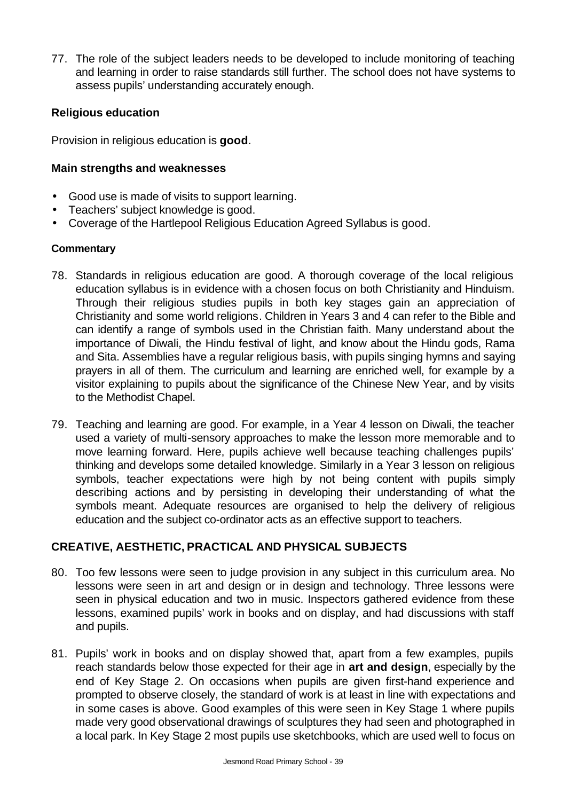77. The role of the subject leaders needs to be developed to include monitoring of teaching and learning in order to raise standards still further. The school does not have systems to assess pupils' understanding accurately enough.

### **Religious education**

Provision in religious education is **good**.

### **Main strengths and weaknesses**

- Good use is made of visits to support learning.
- Teachers' subject knowledge is good.
- Coverage of the Hartlepool Religious Education Agreed Syllabus is good.

### **Commentary**

- 78. Standards in religious education are good. A thorough coverage of the local religious education syllabus is in evidence with a chosen focus on both Christianity and Hinduism. Through their religious studies pupils in both key stages gain an appreciation of Christianity and some world religions. Children in Years 3 and 4 can refer to the Bible and can identify a range of symbols used in the Christian faith. Many understand about the importance of Diwali, the Hindu festival of light, and know about the Hindu gods, Rama and Sita. Assemblies have a regular religious basis, with pupils singing hymns and saying prayers in all of them. The curriculum and learning are enriched well, for example by a visitor explaining to pupils about the significance of the Chinese New Year, and by visits to the Methodist Chapel.
- 79. Teaching and learning are good. For example, in a Year 4 lesson on Diwali, the teacher used a variety of multi-sensory approaches to make the lesson more memorable and to move learning forward. Here, pupils achieve well because teaching challenges pupils' thinking and develops some detailed knowledge. Similarly in a Year 3 lesson on religious symbols, teacher expectations were high by not being content with pupils simply describing actions and by persisting in developing their understanding of what the symbols meant. Adequate resources are organised to help the delivery of religious education and the subject co-ordinator acts as an effective support to teachers.

# **CREATIVE, AESTHETIC, PRACTICAL AND PHYSICAL SUBJECTS**

- 80. Too few lessons were seen to judge provision in any subject in this curriculum area. No lessons were seen in art and design or in design and technology. Three lessons were seen in physical education and two in music. Inspectors gathered evidence from these lessons, examined pupils' work in books and on display, and had discussions with staff and pupils.
- 81. Pupils' work in books and on display showed that, apart from a few examples, pupils reach standards below those expected for their age in **art and design**, especially by the end of Key Stage 2. On occasions when pupils are given first-hand experience and prompted to observe closely, the standard of work is at least in line with expectations and in some cases is above. Good examples of this were seen in Key Stage 1 where pupils made very good observational drawings of sculptures they had seen and photographed in a local park. In Key Stage 2 most pupils use sketchbooks, which are used well to focus on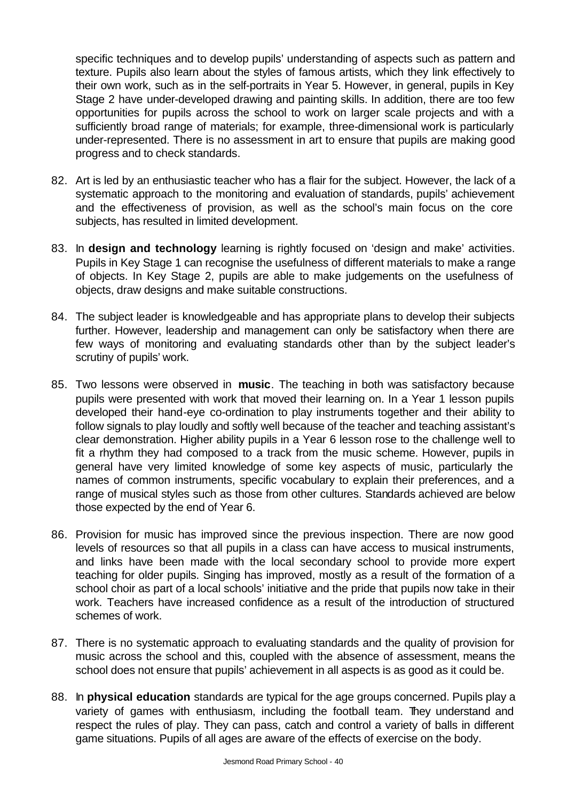specific techniques and to develop pupils' understanding of aspects such as pattern and texture. Pupils also learn about the styles of famous artists, which they link effectively to their own work, such as in the self-portraits in Year 5. However, in general, pupils in Key Stage 2 have under-developed drawing and painting skills. In addition, there are too few opportunities for pupils across the school to work on larger scale projects and with a sufficiently broad range of materials; for example, three-dimensional work is particularly under-represented. There is no assessment in art to ensure that pupils are making good progress and to check standards.

- 82. Art is led by an enthusiastic teacher who has a flair for the subject. However, the lack of a systematic approach to the monitoring and evaluation of standards, pupils' achievement and the effectiveness of provision, as well as the school's main focus on the core subjects, has resulted in limited development.
- 83. In **design and technology** learning is rightly focused on 'design and make' activities. Pupils in Key Stage 1 can recognise the usefulness of different materials to make a range of objects. In Key Stage 2, pupils are able to make judgements on the usefulness of objects, draw designs and make suitable constructions.
- 84. The subject leader is knowledgeable and has appropriate plans to develop their subjects further. However, leadership and management can only be satisfactory when there are few ways of monitoring and evaluating standards other than by the subject leader's scrutiny of pupils' work.
- 85. Two lessons were observed in **music**. The teaching in both was satisfactory because pupils were presented with work that moved their learning on. In a Year 1 lesson pupils developed their hand-eye co-ordination to play instruments together and their ability to follow signals to play loudly and softly well because of the teacher and teaching assistant's clear demonstration. Higher ability pupils in a Year 6 lesson rose to the challenge well to fit a rhythm they had composed to a track from the music scheme. However, pupils in general have very limited knowledge of some key aspects of music, particularly the names of common instruments, specific vocabulary to explain their preferences, and a range of musical styles such as those from other cultures. Standards achieved are below those expected by the end of Year 6.
- 86. Provision for music has improved since the previous inspection. There are now good levels of resources so that all pupils in a class can have access to musical instruments, and links have been made with the local secondary school to provide more expert teaching for older pupils. Singing has improved, mostly as a result of the formation of a school choir as part of a local schools' initiative and the pride that pupils now take in their work. Teachers have increased confidence as a result of the introduction of structured schemes of work.
- 87. There is no systematic approach to evaluating standards and the quality of provision for music across the school and this, coupled with the absence of assessment, means the school does not ensure that pupils' achievement in all aspects is as good as it could be.
- 88. In **physical education** standards are typical for the age groups concerned. Pupils play a variety of games with enthusiasm, including the football team. They understand and respect the rules of play. They can pass, catch and control a variety of balls in different game situations. Pupils of all ages are aware of the effects of exercise on the body.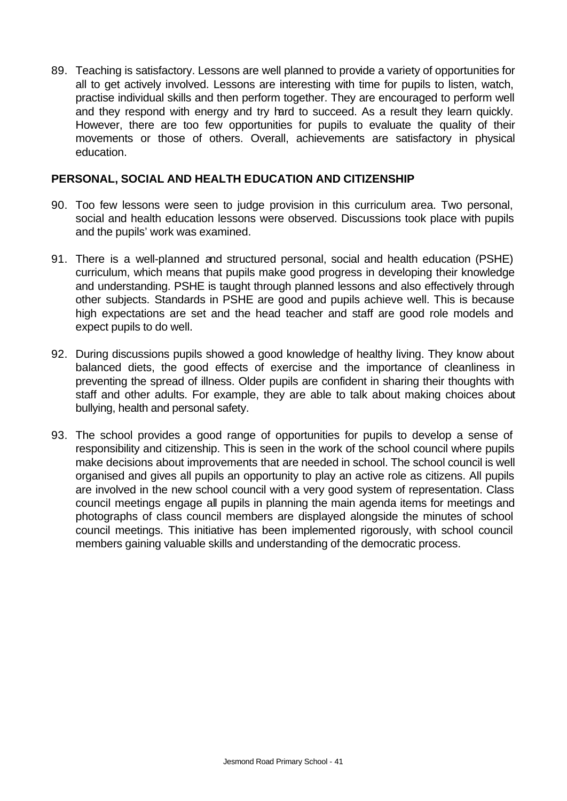89. Teaching is satisfactory. Lessons are well planned to provide a variety of opportunities for all to get actively involved. Lessons are interesting with time for pupils to listen, watch, practise individual skills and then perform together. They are encouraged to perform well and they respond with energy and try hard to succeed. As a result they learn quickly. However, there are too few opportunities for pupils to evaluate the quality of their movements or those of others. Overall, achievements are satisfactory in physical education.

### **PERSONAL, SOCIAL AND HEALTH EDUCATION AND CITIZENSHIP**

- 90. Too few lessons were seen to judge provision in this curriculum area. Two personal, social and health education lessons were observed. Discussions took place with pupils and the pupils' work was examined.
- 91. There is a well-planned and structured personal, social and health education (PSHE) curriculum, which means that pupils make good progress in developing their knowledge and understanding. PSHE is taught through planned lessons and also effectively through other subjects. Standards in PSHE are good and pupils achieve well. This is because high expectations are set and the head teacher and staff are good role models and expect pupils to do well.
- 92. During discussions pupils showed a good knowledge of healthy living. They know about balanced diets, the good effects of exercise and the importance of cleanliness in preventing the spread of illness. Older pupils are confident in sharing their thoughts with staff and other adults. For example, they are able to talk about making choices about bullying, health and personal safety.
- 93. The school provides a good range of opportunities for pupils to develop a sense of responsibility and citizenship. This is seen in the work of the school council where pupils make decisions about improvements that are needed in school. The school council is well organised and gives all pupils an opportunity to play an active role as citizens. All pupils are involved in the new school council with a very good system of representation. Class council meetings engage all pupils in planning the main agenda items for meetings and photographs of class council members are displayed alongside the minutes of school council meetings. This initiative has been implemented rigorously, with school council members gaining valuable skills and understanding of the democratic process.